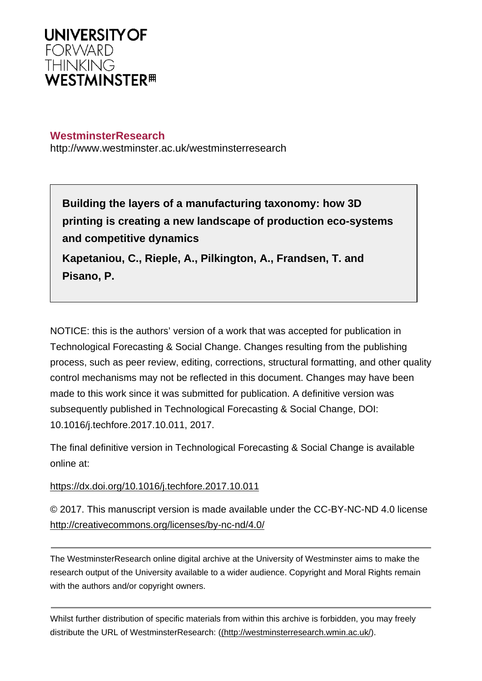

## **WestminsterResearch**

http://www.westminster.ac.uk/westminsterresearch

**Building the layers of a manufacturing taxonomy: how 3D printing is creating a new landscape of production eco-systems and competitive dynamics**

**Kapetaniou, C., Rieple, A., Pilkington, A., Frandsen, T. and Pisano, P.**

NOTICE: this is the authors' version of a work that was accepted for publication in Technological Forecasting & Social Change. Changes resulting from the publishing process, such as peer review, editing, corrections, structural formatting, and other quality control mechanisms may not be reflected in this document. Changes may have been made to this work since it was submitted for publication. A definitive version was subsequently published in Technological Forecasting & Social Change, DOI: 10.1016/j.techfore.2017.10.011, 2017.

The final definitive version in Technological Forecasting & Social Change is available online at:

<https://dx.doi.org/10.1016/j.techfore.2017.10.011>

© 2017. This manuscript version is made available under the CC-BY-NC-ND 4.0 license <http://creativecommons.org/licenses/by-nc-nd/4.0/>

The WestminsterResearch online digital archive at the University of Westminster aims to make the research output of the University available to a wider audience. Copyright and Moral Rights remain with the authors and/or copyright owners.

Whilst further distribution of specific materials from within this archive is forbidden, you may freely distribute the URL of WestminsterResearch: [\(\(http://westminsterresearch.wmin.ac.uk/](http://westminsterresearch.wmin.ac.uk/)).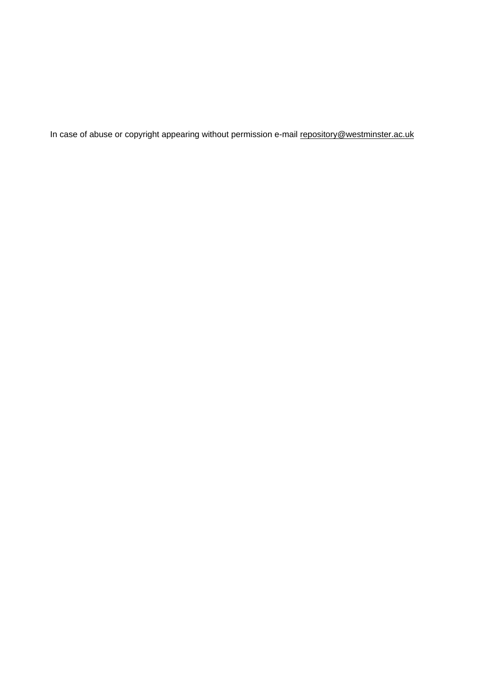In case of abuse or copyright appearing without permission e-mail <repository@westminster.ac.uk>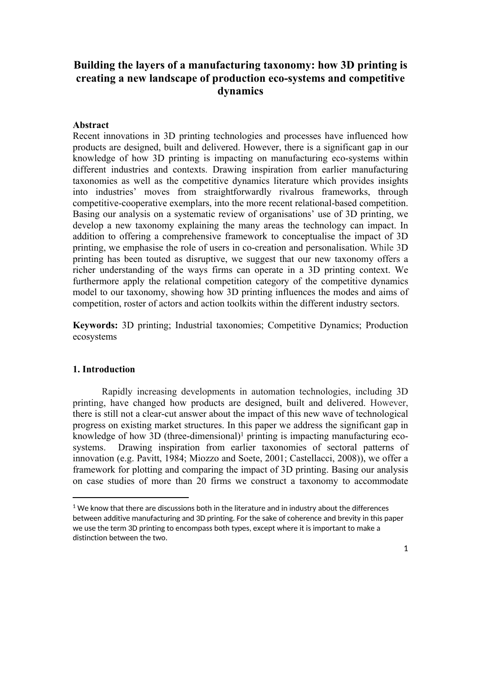## **Building the layers of a manufacturing taxonomy: how 3D printing is creating a new landscape of production eco-systems and competitive dynamics**

## **Abstract**

Recent innovations in 3D printing technologies and processes have influenced how products are designed, built and delivered. However, there is a significant gap in our knowledge of how 3D printing is impacting on manufacturing eco-systems within different industries and contexts. Drawing inspiration from earlier manufacturing taxonomies as well as the competitive dynamics literature which provides insights into industries' moves from straightforwardly rivalrous frameworks, through competitive-cooperative exemplars, into the more recent relational-based competition. Basing our analysis on a systematic review of organisations' use of 3D printing, we develop a new taxonomy explaining the many areas the technology can impact. In addition to offering a comprehensive framework to conceptualise the impact of 3D printing, we emphasise the role of users in co-creation and personalisation. While 3D printing has been touted as disruptive, we suggest that our new taxonomy offers a richer understanding of the ways firms can operate in a 3D printing context. We furthermore apply the relational competition category of the competitive dynamics model to our taxonomy, showing how 3D printing influences the modes and aims of competition, roster of actors and action toolkits within the different industry sectors.

**Keywords:** 3D printing; Industrial taxonomies; Competitive Dynamics; Production ecosystems

### **1. Introduction**

Rapidly increasing developments in automation technologies, including 3D printing, have changed how products are designed, built and delivered. However, there is still not a clear-cut answer about the impact of this new wave of technological progress on existing market structures. In this paper we address the significant gap in knowledge of how  $3D$  (three-dimensional)<sup>1</sup> printing is impacting manufacturing ecosystems. Drawing inspiration from earlier taxonomies of sectoral patterns of innovation (e.g. Pavitt, 1984; Miozzo and Soete, 2001; Castellacci, 2008)), we offer a framework for plotting and comparing the impact of 3D printing. Basing our analysis on case studies of more than 20 firms we construct a taxonomy to accommodate

 $^{\rm 1}$  We know that there are discussions both in the literature and in industry about the differences between additive manufacturing and 3D printing. For the sake of coherence and brevity in this paper we use the term 3D printing to encompass both types, except where it is important to make a distinction between the two.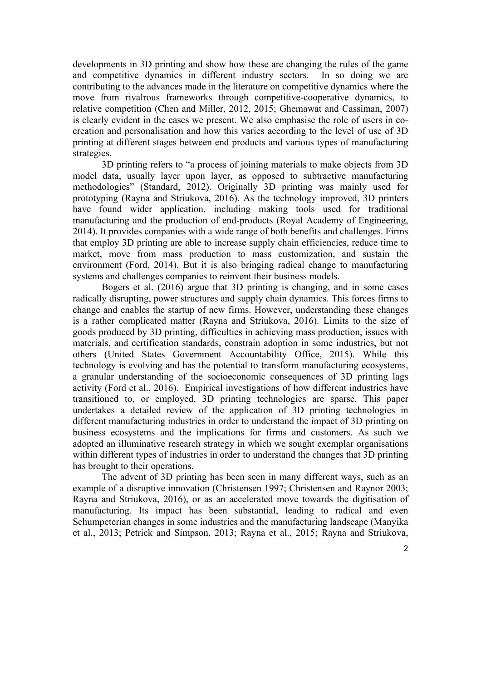developments in 3D printing and show how these are changing the rules of the game and competitive dynamics in different industry sectors. In so doing we are contributing to the advances made in the literature on competitive dynamics where the move from rivalrous frameworks through competitive-cooperative dynamics, to relative competition (Chen and Miller, 2012, 2015; Ghemawat and Cassiman, 2007) is clearly evident in the cases we present. We also emphasise the role of users in cocreation and personalisation and how this varies according to the level of use of 3D printing at different stages between end products and various types of manufacturing strategies.

3D printing refers to "a process of joining materials to make objects from 3D model data, usually layer upon layer, as opposed to subtractive manufacturing methodologies" (Standard, 2012). Originally 3D printing was mainly used for prototyping (Rayna and Striukova, 2016). As the technology improved, 3D printers have found wider application, including making tools used for traditional manufacturing and the production of end-products (Royal Academy of Engineering, 2014). It provides companies with a wide range of both benefits and challenges. Firms that employ 3D printing are able to increase supply chain efficiencies, reduce time to market, move from mass production to mass customization, and sustain the environment (Ford, 2014). But it is also bringing radical change to manufacturing systems and challenges companies to reinvent their business models.

Bogers et al. (2016) argue that 3D printing is changing, and in some cases radically disrupting, power structures and supply chain dynamics. This forces firms to change and enables the startup of new firms. However, understanding these changes is a rather complicated matter (Rayna and Striukova, 2016). Limits to the size of goods produced by 3D printing, difficulties in achieving mass production, issues with materials, and certification standards, constrain adoption in some industries, but not others (United States Government Accountability Office, 2015). While this technology is evolving and has the potential to transform manufacturing ecosystems, a granular understanding of the socioeconomic consequences of 3D printing lags activity (Ford et al., 2016). Empirical investigations of how different industries have transitioned to, or employed, 3D printing technologies are sparse. This paper undertakes a detailed review of the application of 3D printing technologies in different manufacturing industries in order to understand the impact of 3D printing on business ecosystems and the implications for firms and customers. As such we adopted an illuminative research strategy in which we sought exemplar organisations within different types of industries in order to understand the changes that 3D printing has brought to their operations.

The advent of 3D printing has been seen in many different ways, such as an example of a disruptive innovation (Christensen 1997; Christensen and Raynor 2003; Rayna and Striukova, 2016), or as an accelerated move towards the digitisation of manufacturing. Its impact has been substantial, leading to radical and even Schumpeterian changes in some industries and the manufacturing landscape (Manyika et al., 2013; Petrick and Simpson, 2013; Rayna et al., 2015; Rayna and Striukova,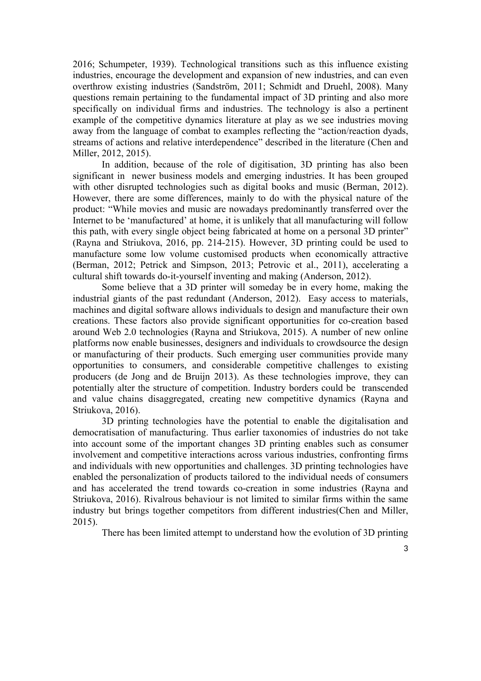2016; Schumpeter, 1939). Technological transitions such as this influence existing industries, encourage the development and expansion of new industries, and can even overthrow existing industries (Sandström, 2011; Schmidt and Druehl, 2008). Many questions remain pertaining to the fundamental impact of 3D printing and also more specifically on individual firms and industries. The technology is also a pertinent example of the competitive dynamics literature at play as we see industries moving away from the language of combat to examples reflecting the "action/reaction dyads, streams of actions and relative interdependence" described in the literature (Chen and Miller, 2012, 2015).

In addition, because of the role of digitisation, 3D printing has also been significant in newer business models and emerging industries. It has been grouped with other disrupted technologies such as digital books and music (Berman, 2012). However, there are some differences, mainly to do with the physical nature of the product: "While movies and music are nowadays predominantly transferred over the Internet to be 'manufactured' at home, it is unlikely that all manufacturing will follow this path, with every single object being fabricated at home on a personal 3D printer" (Rayna and Striukova, 2016, pp. 214-215). However, 3D printing could be used to manufacture some low volume customised products when economically attractive (Berman, 2012; Petrick and Simpson, 2013; Petrovic et al., 2011), accelerating a cultural shift towards do-it-yourself inventing and making (Anderson, 2012).

Some believe that a 3D printer will someday be in every home, making the industrial giants of the past redundant (Anderson, 2012). Easy access to materials, machines and digital software allows individuals to design and manufacture their own creations. These factors also provide significant opportunities for co-creation based around Web 2.0 technologies (Rayna and Striukova, 2015). A number of new online platforms now enable businesses, designers and individuals to crowdsource the design or manufacturing of their products. Such emerging user communities provide many opportunities to consumers, and considerable competitive challenges to existing producers (de Jong and de Bruijn 2013). As these technologies improve, they can potentially alter the structure of competition. Industry borders could be transcended and value chains disaggregated, creating new competitive dynamics (Rayna and Striukova, 2016).

3D printing technologies have the potential to enable the digitalisation and democratisation of manufacturing. Thus earlier taxonomies of industries do not take into account some of the important changes 3D printing enables such as consumer involvement and competitive interactions across various industries, confronting firms and individuals with new opportunities and challenges. 3D printing technologies have enabled the personalization of products tailored to the individual needs of consumers and has accelerated the trend towards co-creation in some industries (Rayna and Striukova, 2016). Rivalrous behaviour is not limited to similar firms within the same industry but brings together competitors from different industries(Chen and Miller, 2015).

There has been limited attempt to understand how the evolution of 3D printing

3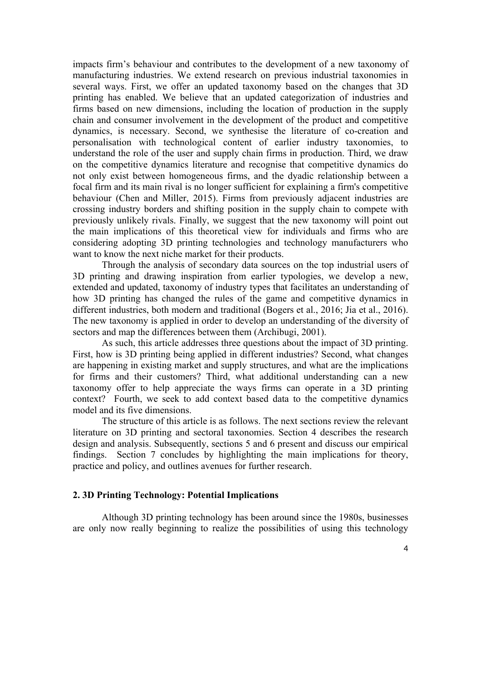impacts firm's behaviour and contributes to the development of a new taxonomy of manufacturing industries. We extend research on previous industrial taxonomies in several ways. First, we offer an updated taxonomy based on the changes that 3D printing has enabled. We believe that an updated categorization of industries and firms based on new dimensions, including the location of production in the supply chain and consumer involvement in the development of the product and competitive dynamics, is necessary. Second, we synthesise the literature of co-creation and personalisation with technological content of earlier industry taxonomies, to understand the role of the user and supply chain firms in production. Third, we draw on the competitive dynamics literature and recognise that competitive dynamics do not only exist between homogeneous firms, and the dyadic relationship between a focal firm and its main rival is no longer sufficient for explaining a firm's competitive behaviour (Chen and Miller, 2015). Firms from previously adjacent industries are crossing industry borders and shifting position in the supply chain to compete with previously unlikely rivals. Finally, we suggest that the new taxonomy will point out the main implications of this theoretical view for individuals and firms who are considering adopting 3D printing technologies and technology manufacturers who want to know the next niche market for their products.

Through the analysis of secondary data sources on the top industrial users of 3D printing and drawing inspiration from earlier typologies, we develop a new, extended and updated, taxonomy of industry types that facilitates an understanding of how 3D printing has changed the rules of the game and competitive dynamics in different industries, both modern and traditional (Bogers et al., 2016; Jia et al., 2016). The new taxonomy is applied in order to develop an understanding of the diversity of sectors and map the differences between them (Archibugi, 2001).

As such, this article addresses three questions about the impact of 3D printing. First, how is 3D printing being applied in different industries? Second, what changes are happening in existing market and supply structures, and what are the implications for firms and their customers? Third, what additional understanding can a new taxonomy offer to help appreciate the ways firms can operate in a 3D printing context? Fourth, we seek to add context based data to the competitive dynamics model and its five dimensions.

The structure of this article is as follows. The next sections review the relevant literature on 3D printing and sectoral taxonomies. Section 4 describes the research design and analysis. Subsequently, sections 5 and 6 present and discuss our empirical findings. Section 7 concludes by highlighting the main implications for theory, practice and policy, and outlines avenues for further research.

### **2. 3D Printing Technology: Potential Implications**

Although 3D printing technology has been around since the 1980s, businesses are only now really beginning to realize the possibilities of using this technology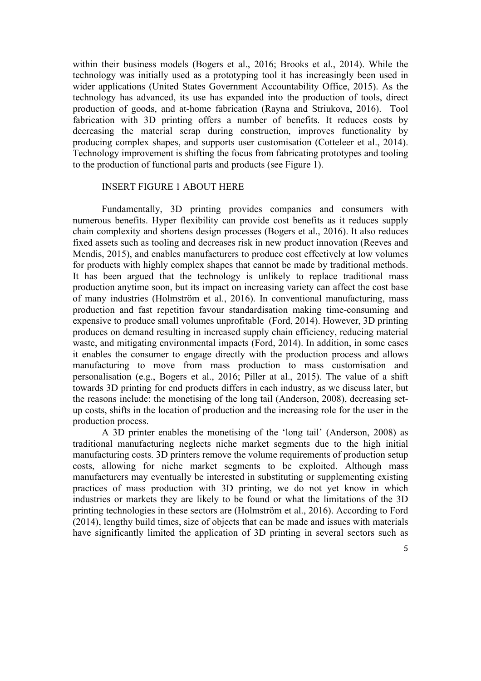within their business models (Bogers et al., 2016; Brooks et al., 2014). While the technology was initially used as a prototyping tool it has increasingly been used in wider applications (United States Government Accountability Office, 2015). As the technology has advanced, its use has expanded into the production of tools, direct production of goods, and at-home fabrication (Rayna and Striukova, 2016). Tool fabrication with 3D printing offers a number of benefits. It reduces costs by decreasing the material scrap during construction, improves functionality by producing complex shapes, and supports user customisation (Cotteleer et al., 2014). Technology improvement is shifting the focus from fabricating prototypes and tooling to the production of functional parts and products (see Figure 1).

### INSERT FIGURE 1 ABOUT HERE

Fundamentally, 3D printing provides companies and consumers with numerous benefits. Hyper flexibility can provide cost benefits as it reduces supply chain complexity and shortens design processes (Bogers et al., 2016). It also reduces fixed assets such as tooling and decreases risk in new product innovation (Reeves and Mendis, 2015), and enables manufacturers to produce cost effectively at low volumes for products with highly complex shapes that cannot be made by traditional methods. It has been argued that the technology is unlikely to replace traditional mass production anytime soon, but its impact on increasing variety can affect the cost base of many industries (Holmström et al., 2016). In conventional manufacturing, mass production and fast repetition favour standardisation making time-consuming and expensive to produce small volumes unprofitable (Ford, 2014). However, 3D printing produces on demand resulting in increased supply chain efficiency, reducing material waste, and mitigating environmental impacts (Ford, 2014). In addition, in some cases it enables the consumer to engage directly with the production process and allows manufacturing to move from mass production to mass customisation and personalisation (e.g., Bogers et al., 2016; Piller at al., 2015). The value of a shift towards 3D printing for end products differs in each industry, as we discuss later, but the reasons include: the monetising of the long tail (Anderson, 2008), decreasing setup costs, shifts in the location of production and the increasing role for the user in the production process.

A 3D printer enables the monetising of the 'long tail' (Anderson, 2008) as traditional manufacturing neglects niche market segments due to the high initial manufacturing costs. 3D printers remove the volume requirements of production setup costs, allowing for niche market segments to be exploited. Although mass manufacturers may eventually be interested in substituting or supplementing existing practices of mass production with 3D printing, we do not yet know in which industries or markets they are likely to be found or what the limitations of the 3D printing technologies in these sectors are (Holmström et al., 2016). According to Ford (2014), lengthy build times, size of objects that can be made and issues with materials have significantly limited the application of 3D printing in several sectors such as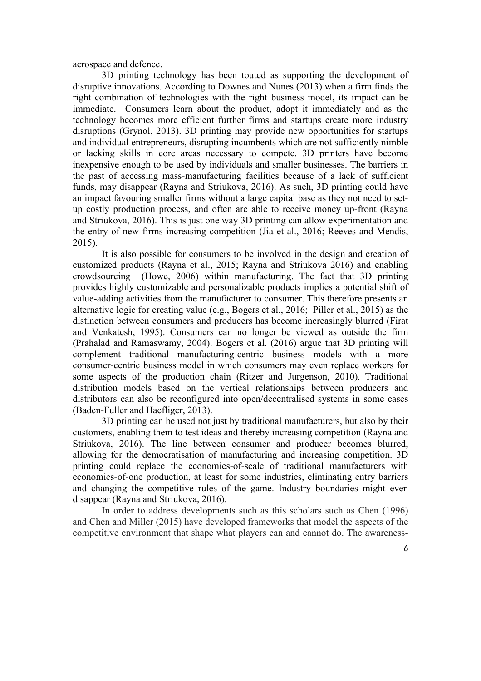aerospace and defence.

3D printing technology has been touted as supporting the development of disruptive innovations. According to Downes and Nunes (2013) when a firm finds the right combination of technologies with the right business model, its impact can be immediate. Consumers learn about the product, adopt it immediately and as the technology becomes more efficient further firms and startups create more industry disruptions (Grynol, 2013). 3D printing may provide new opportunities for startups and individual entrepreneurs, disrupting incumbents which are not sufficiently nimble or lacking skills in core areas necessary to compete. 3D printers have become inexpensive enough to be used by individuals and smaller businesses. The barriers in the past of accessing mass-manufacturing facilities because of a lack of sufficient funds, may disappear (Rayna and Striukova, 2016). As such, 3D printing could have an impact favouring smaller firms without a large capital base as they not need to setup costly production process, and often are able to receive money up-front (Rayna and Striukova, 2016). This is just one way 3D printing can allow experimentation and the entry of new firms increasing competition (Jia et al., 2016; Reeves and Mendis, 2015).

It is also possible for consumers to be involved in the design and creation of customized products (Rayna et al., 2015; Rayna and Striukova 2016) and enabling crowdsourcing (Howe, 2006) within manufacturing. The fact that 3D printing provides highly customizable and personalizable products implies a potential shift of value-adding activities from the manufacturer to consumer. This therefore presents an alternative logic for creating value (e.g., Bogers et al., 2016; Piller et al., 2015) as the distinction between consumers and producers has become increasingly blurred (Firat and Venkatesh, 1995). Consumers can no longer be viewed as outside the firm (Prahalad and Ramaswamy, 2004). Bogers et al. (2016) argue that 3D printing will complement traditional manufacturing-centric business models with a more consumer-centric business model in which consumers may even replace workers for some aspects of the production chain [\(Ritzer and Jurgenson, 2010\).](http://www.sciencedirect.com/science/article/pii/S0923474815000296#bib0130) Traditional distribution models based on the vertical relationships between producers and distributors can also be reconfigured into open/decentralised systems in some cases (Baden-Fuller and Haefliger, 2013).

3D printing can be used not just by traditional manufacturers, but also by their customers, enabling them to test ideas and thereby increasing competition (Rayna and Striukova, 2016). The line between consumer and producer becomes blurred, allowing for the democratisation of manufacturing and increasing competition. 3D printing could replace the economies-of-scale of traditional manufacturers with economies-of-one production, at least for some industries, eliminating entry barriers and changing the competitive rules of the game. Industry boundaries might even disappear (Rayna and Striukova, 2016).

In order to address developments such as this scholars such as Chen (1996) and Chen and Miller (2015) have developed frameworks that model the aspects of the competitive environment that shape what players can and cannot do. The awareness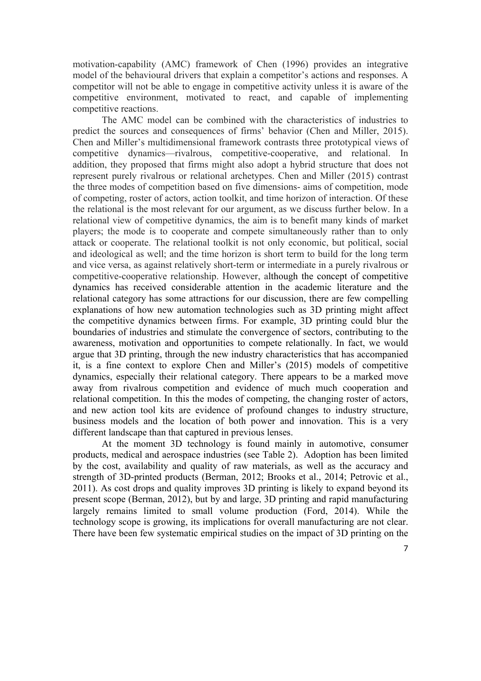motivation-capability (AMC) framework of Chen (1996) provides an integrative model of the behavioural drivers that explain a competitor's actions and responses. A competitor will not be able to engage in competitive activity unless it is aware of the competitive environment, motivated to react, and capable of implementing competitive reactions.

The AMC model can be combined with the characteristics of industries to predict the sources and consequences of firms' behavior (Chen and Miller, 2015). Chen and Miller's multidimensional framework contrasts three prototypical views of competitive dynamics—rivalrous, competitive-cooperative, and relational. In addition, they proposed that firms might also adopt a hybrid structure that does not represent purely rivalrous or relational archetypes. Chen and Miller (2015) contrast the three modes of competition based on five dimensions- aims of competition, mode of competing, roster of actors, action toolkit, and time horizon of interaction. Of these the relational is the most relevant for our argument, as we discuss further below. In a relational view of competitive dynamics, the aim is to benefit many kinds of market players; the mode is to cooperate and compete simultaneously rather than to only attack or cooperate. The relational toolkit is not only economic, but political, social and ideological as well; and the time horizon is short term to build for the long term and vice versa, as against relatively short-term or intermediate in a purely rivalrous or competitive-cooperative relationship. However, although the concept of competitive dynamics has received considerable attention in the academic literature and the relational category has some attractions for our discussion, there are few compelling explanations of how new automation technologies such as 3D printing might affect the competitive dynamics between firms. For example, 3D printing could blur the boundaries of industries and stimulate the convergence of sectors, contributing to the awareness, motivation and opportunities to compete relationally. In fact, we would argue that 3D printing, through the new industry characteristics that has accompanied it, is a fine context to explore Chen and Miller's (2015) models of competitive dynamics, especially their relational category. There appears to be a marked move away from rivalrous competition and evidence of much much cooperation and relational competition. In this the modes of competing, the changing roster of actors, and new action tool kits are evidence of profound changes to industry structure, business models and the location of both power and innovation. This is a very different landscape than that captured in previous lenses.

At the moment 3D technology is found mainly in automotive, consumer products, medical and aerospace industries (see Table 2). Adoption has been limited by the cost, availability and quality of raw materials, as well as the accuracy and strength of 3D-printed products (Berman, 2012; Brooks et al., 2014; Petrovic et al., 2011). As cost drops and quality improves 3D printing is likely to expand beyond its present scope (Berman, 2012), but by and large, 3D printing and rapid manufacturing largely remains limited to small volume production (Ford, 2014). While the technology scope is growing, its implications for overall manufacturing are not clear. There have been few systematic empirical studies on the impact of 3D printing on the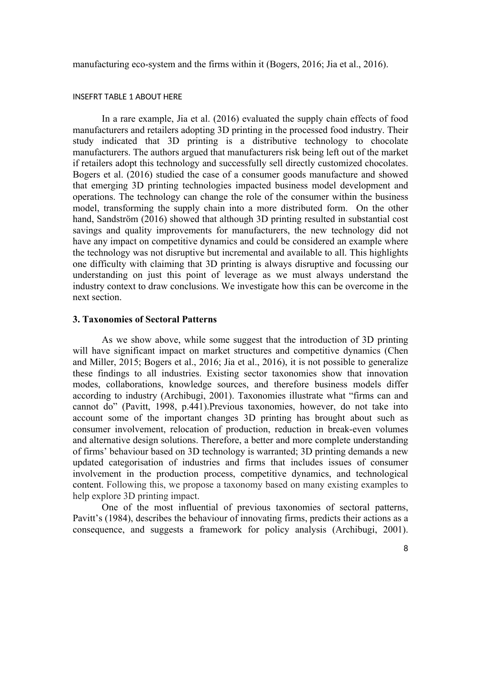manufacturing eco-system and the firms within it (Bogers, 2016; Jia et al., 2016).

#### INSEFRT TABLE 1 ABOUT HERE

In a rare example, Jia et al. (2016) evaluated the supply chain effects of food manufacturers and retailers adopting 3D printing in the processed food industry. Their study indicated that 3D printing is a distributive technology to chocolate manufacturers. The authors argued that manufacturers risk being left out of the market if retailers adopt this technology and successfully sell directly customized chocolates. Bogers et al. (2016) studied the case of a consumer goods manufacture and showed that emerging 3D printing technologies impacted business model development and operations. The technology can change the role of the consumer within the business model, transforming the supply chain into a more distributed form. On the other hand, Sandström (2016) showed that although 3D printing resulted in substantial cost savings and quality improvements for manufacturers, the new technology did not have any impact on competitive dynamics and could be considered an example where the technology was not disruptive but incremental and available to all. This highlights one difficulty with claiming that 3D printing is always disruptive and focussing our understanding on just this point of leverage as we must always understand the industry context to draw conclusions. We investigate how this can be overcome in the next section.

## **3. Taxonomies of Sectoral Patterns**

As we show above, while some suggest that the introduction of 3D printing will have significant impact on market structures and competitive dynamics (Chen and Miller, 2015; Bogers et al., 2016; Jia et al., 2016), it is not possible to generalize these findings to all industries. Existing sector taxonomies show that innovation modes, collaborations, knowledge sources, and therefore business models differ according to industry (Archibugi, 2001). Taxonomies illustrate what "firms can and cannot do" (Pavitt, 1998, p.441).Previous taxonomies, however, do not take into account some of the important changes 3D printing has brought about such as consumer involvement, relocation of production, reduction in break-even volumes and alternative design solutions. Therefore, a better and more complete understanding of firms' behaviour based on 3D technology is warranted; 3D printing demands a new updated categorisation of industries and firms that includes issues of consumer involvement in the production process, competitive dynamics, and technological content. Following this, we propose a taxonomy based on many existing examples to help explore 3D printing impact.

One of the most influential of previous taxonomies of sectoral patterns, Pavitt's (1984), describes the behaviour of innovating firms, predicts their actions as a consequence, and suggests a framework for policy analysis (Archibugi, 2001).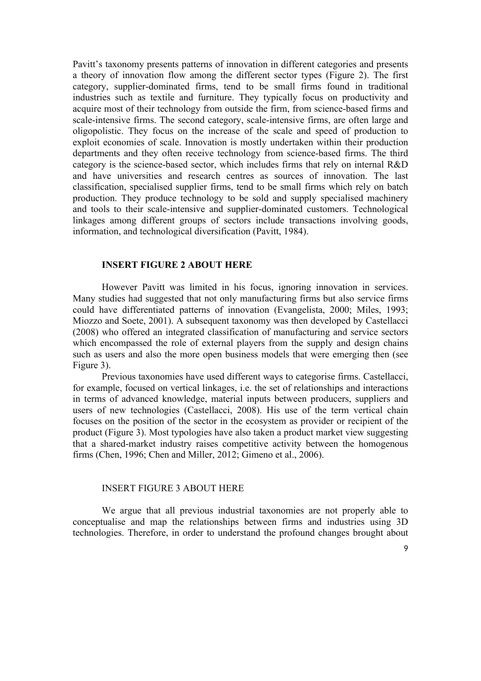Pavitt's taxonomy presents patterns of innovation in different categories and presents a theory of innovation flow among the different sector types (Figure 2). The first category, supplier-dominated firms, tend to be small firms found in traditional industries such as textile and furniture. They typically focus on productivity and acquire most of their technology from outside the firm, from science-based firms and scale-intensive firms. The second category, scale-intensive firms, are often large and oligopolistic. They focus on the increase of the scale and speed of production to exploit economies of scale. Innovation is mostly undertaken within their production departments and they often receive technology from science-based firms. The third category is the science-based sector, which includes firms that rely on internal R&D and have universities and research centres as sources of innovation. The last classification, specialised supplier firms, tend to be small firms which rely on batch production. They produce technology to be sold and supply specialised machinery and tools to their scale-intensive and supplier-dominated customers. Technological linkages among different groups of sectors include transactions involving goods, information, and technological diversification (Pavitt, 1984).

## **INSERT FIGURE 2 ABOUT HERE**

However Pavitt was limited in his focus, ignoring innovation in services. Many studies had suggested that not only manufacturing firms but also service firms could have differentiated patterns of innovation (Evangelista, 2000; Miles, 1993; Miozzo and Soete, 2001). A subsequent taxonomy was then developed by Castellacci (2008) who offered an integrated classification of manufacturing and service sectors which encompassed the role of external players from the supply and design chains such as users and also the more open business models that were emerging then (see Figure 3).

Previous taxonomies have used different ways to categorise firms. Castellacci, for example, focused on vertical linkages, i.e. the set of relationships and interactions in terms of advanced knowledge, material inputs between producers, suppliers and users of new technologies (Castellacci, 2008). His use of the term vertical chain focuses on the position of the sector in the ecosystem as provider or recipient of the product (Figure 3). Most typologies have also taken a product market view suggesting that a shared-market industry raises competitive activity between the homogenous firms (Chen, 1996; Chen and Miller, 2012; Gimeno et al., 2006).

#### INSERT FIGURE 3 ABOUT HERE

We argue that all previous industrial taxonomies are not properly able to conceptualise and map the relationships between firms and industries using 3D technologies. Therefore, in order to understand the profound changes brought about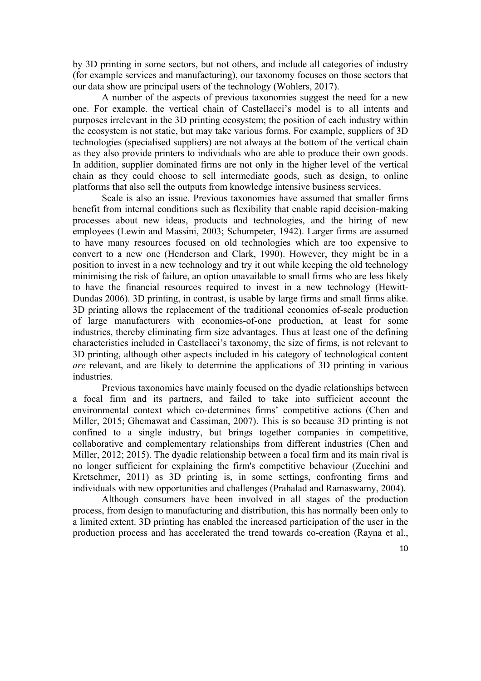by 3D printing in some sectors, but not others, and include all categories of industry (for example services and manufacturing), our taxonomy focuses on those sectors that our data show are principal users of the technology (Wohlers, 2017).

A number of the aspects of previous taxonomies suggest the need for a new one. For example. the vertical chain of Castellacci's model is to all intents and purposes irrelevant in the 3D printing ecosystem; the position of each industry within the ecosystem is not static, but may take various forms. For example, suppliers of 3D technologies (specialised suppliers) are not always at the bottom of the vertical chain as they also provide printers to individuals who are able to produce their own goods. In addition, supplier dominated firms are not only in the higher level of the vertical chain as they could choose to sell intermediate goods, such as design, to online platforms that also sell the outputs from knowledge intensive business services.

Scale is also an issue. Previous taxonomies have assumed that smaller firms benefit from internal conditions such as flexibility that enable rapid decision-making processes about new ideas, products and technologies, and the hiring of new employees (Lewin and Massini, 2003; Schumpeter, 1942). Larger firms are assumed to have many resources focused on old technologies which are too expensive to convert to a new one (Henderson and Clark, 1990). However, they might be in a position to invest in a new technology and try it out while keeping the old technology minimising the risk of failure, an option unavailable to small firms who are less likely to have the financial resources required to invest in a new technology (Hewitt-Dundas 2006). 3D printing, in contrast, is usable by large firms and small firms alike. 3D printing allows the replacement of the traditional economies of-scale production of large manufacturers with economies-of-one production, at least for some industries, thereby eliminating firm size advantages. Thus at least one of the defining characteristics included in Castellacci's taxonomy, the size of firms, is not relevant to 3D printing, although other aspects included in his category of technological content *are* relevant, and are likely to determine the applications of 3D printing in various industries.

Previous taxonomies have mainly focused on the dyadic relationships between a focal firm and its partners, and failed to take into sufficient account the environmental context which co-determines firms' competitive actions (Chen and Miller, 2015; Ghemawat and Cassiman, 2007). This is so because 3D printing is not confined to a single industry, but brings together companies in competitive, collaborative and complementary relationships from different industries (Chen and Miller, 2012; 2015). The dyadic relationship between a focal firm and its main rival is no longer sufficient for explaining the firm's competitive behaviour (Zucchini and Kretschmer, 2011) as 3D printing is, in some settings, confronting firms and individuals with new opportunities and challenges (Prahalad and Ramaswamy, 2004).

Although consumers have been involved in all stages of the production process, from design to manufacturing and distribution, this has normally been only to a limited extent. 3D printing has enabled the increased participation of the user in the production process and has accelerated the trend towards co-creation (Rayna et al.,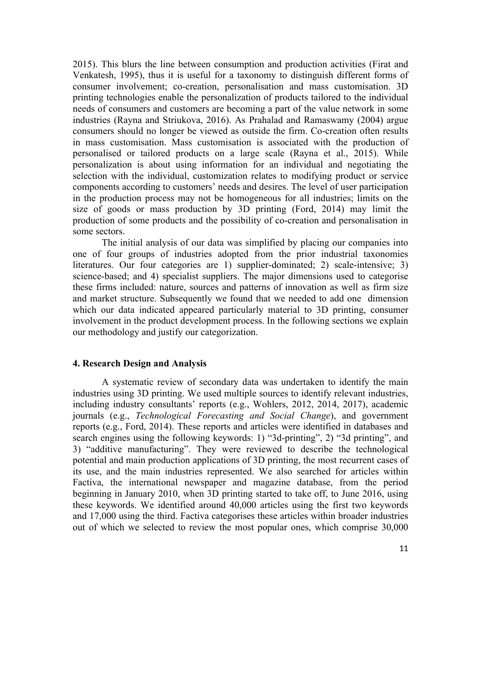2015). This blurs the line between consumption and production activities (Firat and Venkatesh, 1995), thus it is useful for a taxonomy to distinguish different forms of consumer involvement; co-creation, personalisation and mass customisation. 3D printing technologies enable the personalization of products tailored to the individual needs of consumers and customers are becoming a part of the value network in some industries (Rayna and Striukova, 2016). As Prahalad and Ramaswamy (2004) argue consumers should no longer be viewed as outside the firm. Co-creation often results in mass customisation. Mass customisation is associated with the production of personalised or tailored products on a large scale (Rayna et al., 2015). While personalization is about using information for an individual and negotiating the selection with the individual, customization relates to modifying product or service components according to customers' needs and desires. The level of user participation in the production process may not be homogeneous for all industries; limits on the size of goods or mass production by 3D printing (Ford, 2014) may limit the production of some products and the possibility of co-creation and personalisation in some sectors.

The initial analysis of our data was simplified by placing our companies into one of four groups of industries adopted from the prior industrial taxonomies literatures. Our four categories are 1) supplier-dominated; 2) scale-intensive; 3) science-based; and 4) specialist suppliers. The major dimensions used to categorise these firms included: nature, sources and patterns of innovation as well as firm size and market structure. Subsequently we found that we needed to add one dimension which our data indicated appeared particularly material to 3D printing, consumer involvement in the product development process. In the following sections we explain our methodology and justify our categorization.

#### **4. Research Design and Analysis**

A systematic review of secondary data was undertaken to identify the main industries using 3D printing. We used multiple sources to identify relevant industries, including industry consultants' reports (e.g., Wohlers, 2012, 2014, 2017), academic journals (e.g., *Technological Forecasting and Social Change*), and government reports (e.g., Ford, 2014). These reports and articles were identified in databases and search engines using the following keywords: 1) "3d-printing", 2) "3d printing", and 3) "additive manufacturing". They were reviewed to describe the technological potential and main production applications of 3D printing, the most recurrent cases of its use, and the main industries represented. We also searched for articles within Factiva, the international newspaper and magazine database, from the period beginning in January 2010, when 3D printing started to take off, to June 2016, using these keywords. We identified around 40,000 articles using the first two keywords and 17,000 using the third. Factiva categorises these articles within broader industries out of which we selected to review the most popular ones, which comprise 30,000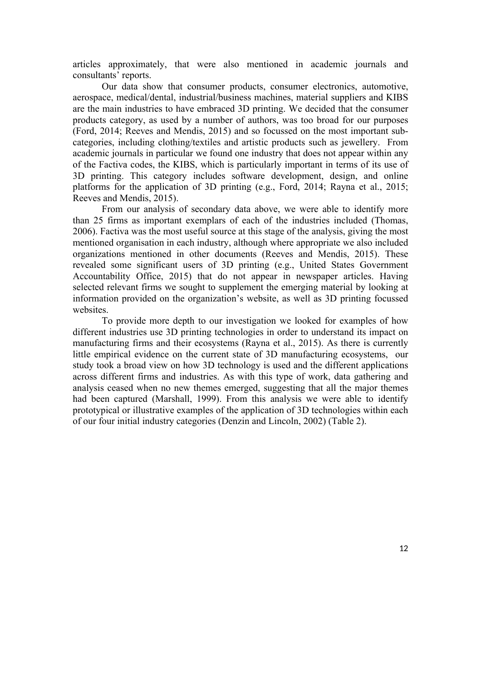articles approximately, that were also mentioned in academic journals and consultants' reports.

Our data show that consumer products, consumer electronics, automotive, aerospace, medical/dental, industrial/business machines, material suppliers and KIBS are the main industries to have embraced 3D printing. We decided that the consumer products category, as used by a number of authors, was too broad for our purposes (Ford, 2014; Reeves and Mendis, 2015) and so focussed on the most important subcategories, including clothing/textiles and artistic products such as jewellery. From academic journals in particular we found one industry that does not appear within any of the Factiva codes, the KIBS, which is particularly important in terms of its use of 3D printing. This category includes software development, design, and online platforms for the application of 3D printing (e.g., Ford, 2014; Rayna et al., 2015; Reeves and Mendis, 2015).

From our analysis of secondary data above, we were able to identify more than 25 firms as important exemplars of each of the industries included (Thomas, 2006). Factiva was the most useful source at this stage of the analysis, giving the most mentioned organisation in each industry, although where appropriate we also included organizations mentioned in other documents (Reeves and Mendis, 2015). These revealed some significant users of 3D printing (e.g., United States Government Accountability Office, 2015) that do not appear in newspaper articles. Having selected relevant firms we sought to supplement the emerging material by looking at information provided on the organization's website, as well as 3D printing focussed websites.

To provide more depth to our investigation we looked for examples of how different industries use 3D printing technologies in order to understand its impact on manufacturing firms and their ecosystems (Rayna et al., 2015). As there is currently little empirical evidence on the current state of 3D manufacturing ecosystems, our study took a broad view on how 3D technology is used and the different applications across different firms and industries. As with this type of work, data gathering and analysis ceased when no new themes emerged, suggesting that all the major themes had been captured (Marshall, 1999). From this analysis we were able to identify prototypical or illustrative examples of the application of 3D technologies within each of our four initial industry categories (Denzin and Lincoln, 2002) (Table 2).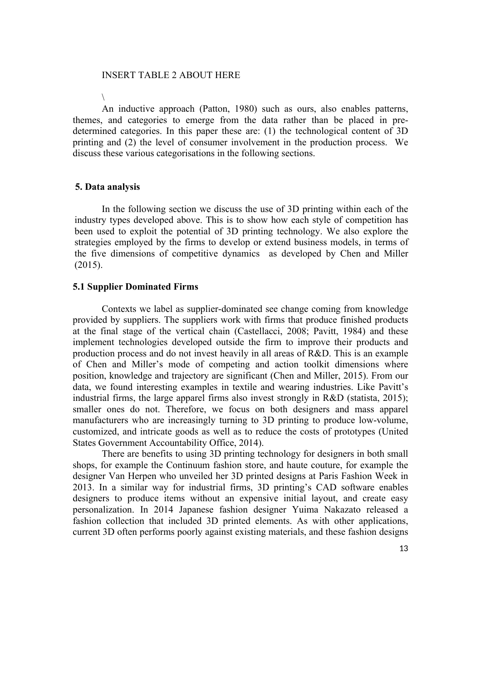#### INSERT TABLE 2 ABOUT HERE

An inductive approach (Patton, 1980) such as ours, also enables patterns, themes, and categories to emerge from the data rather than be placed in predetermined categories. In this paper these are: (1) the technological content of 3D printing and (2) the level of consumer involvement in the production process. We discuss these various categorisations in the following sections.

### **5. Data analysis**

 $\setminus$ 

In the following section we discuss the use of 3D printing within each of the industry types developed above. This is to show how each style of competition has been used to exploit the potential of 3D printing technology. We also explore the strategies employed by the firms to develop or extend business models, in terms of the five dimensions of competitive dynamics as developed by Chen and Miller (2015).

#### **5.1 Supplier Dominated Firms**

Contexts we label as supplier-dominated see change coming from knowledge provided by suppliers. The suppliers work with firms that produce finished products at the final stage of the vertical chain (Castellacci, 2008; Pavitt, 1984) and these implement technologies developed outside the firm to improve their products and production process and do not invest heavily in all areas of R&D. This is an example of Chen and Miller's mode of competing and action toolkit dimensions where position, knowledge and trajectory are significant (Chen and Miller, 2015). From our data, we found interesting examples in textile and wearing industries. Like Pavitt's industrial firms, the large apparel firms also invest strongly in R&D (statista, 2015); smaller ones do not. Therefore, we focus on both designers and mass apparel manufacturers who are increasingly turning to 3D printing to produce low-volume, customized, and intricate goods as well as to reduce the costs of prototypes (United States Government Accountability Office, 2014).

There are benefits to using 3D printing technology for designers in both small shops, for example the Continuum fashion store, and haute couture, for example the designer Van Herpen who unveiled her 3D printed designs at Paris Fashion Week in 2013. In a similar way for industrial firms, 3D printing's CAD software enables designers to produce items without an expensive initial layout, and create easy personalization. In 2014 Japanese fashion designer Yuima Nakazato released a fashion collection that included 3D printed elements. As with other applications, current 3D often performs poorly against existing materials, and these fashion designs

13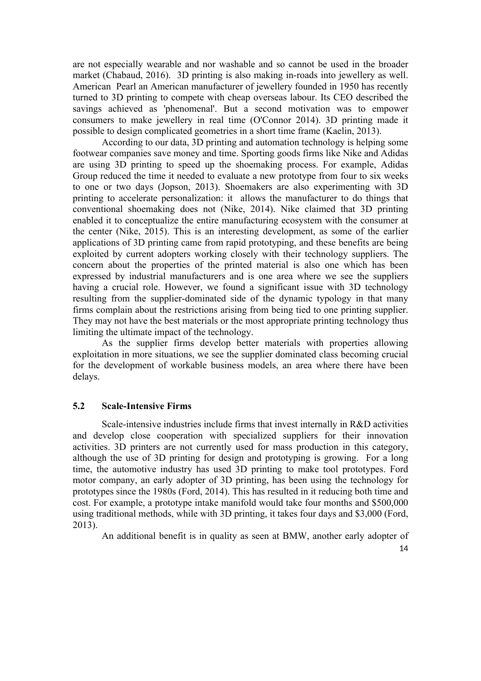are not especially wearable and nor washable and so cannot be used in the broader market (Chabaud, 2016). 3D printing is also making in-roads into jewellery as well. American Pearl an American manufacturer of jewellery founded in 1950 has recently turned to 3D printing to compete with cheap overseas labour. Its CEO described the savings achieved as 'phenomenal'. But a second motivation was to empower consumers to make jewellery in real time (O'Connor 2014). 3D printing made it possible to design complicated geometries in a short time frame (Kaelin, 2013).

According to our data, 3D printing and automation technology is helping some footwear companies save money and time. Sporting goods firms like Nike and Adidas are using 3D printing to speed up the shoemaking process. For example, Adidas Group reduced the time it needed to evaluate a new prototype from four to six weeks to one or two days (Jopson, 2013). Shoemakers are also experimenting with 3D printing to accelerate personalization: it allows the manufacturer to do things that conventional shoemaking does not (Nike, 2014). Nike claimed that 3D printing enabled it to conceptualize the entire manufacturing ecosystem with the consumer at the center (Nike, 2015). This is an interesting development, as some of the earlier applications of 3D printing came from rapid prototyping, and these benefits are being exploited by current adopters working closely with their technology suppliers. The concern about the properties of the printed material is also one which has been expressed by industrial manufacturers and is one area where we see the suppliers having a crucial role. However, we found a significant issue with 3D technology resulting from the supplier-dominated side of the dynamic typology in that many firms complain about the restrictions arising from being tied to one printing supplier. They may not have the best materials or the most appropriate printing technology thus limiting the ultimate impact of the technology.

As the supplier firms develop better materials with properties allowing exploitation in more situations, we see the supplier dominated class becoming crucial for the development of workable business models, an area where there have been delays.

## **5.2 Scale-Intensive Firms**

Scale-intensive industries include firms that invest internally in R&D activities and develop close cooperation with specialized suppliers for their innovation activities. 3D printers are not currently used for mass production in this category, although the use of 3D printing for design and prototyping is growing. For a long time, the automotive industry has used 3D printing to make tool prototypes. Ford motor company, an early adopter of 3D printing, has been using the technology for prototypes since the 1980s (Ford, 2014). This has resulted in it reducing both time and cost. For example, a prototype intake manifold would take four months and \$500,000 using traditional methods, while with 3D printing, it takes four days and \$3,000 (Ford, 2013).

An additional benefit is in quality as seen at BMW, another early adopter of

14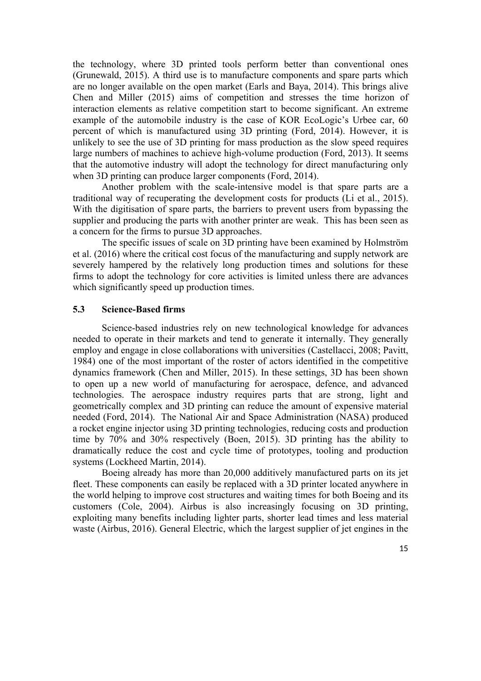the technology, where 3D printed tools perform better than conventional ones (Grunewald, 2015). A third use is to manufacture components and spare parts which are no longer available on the open market (Earls and Baya, 2014). This brings alive Chen and Miller (2015) aims of competition and stresses the time horizon of interaction elements as relative competition start to become significant. An extreme example of the automobile industry is the case of KOR EcoLogic's Urbee car, 60 percent of which is manufactured using 3D printing (Ford, 2014). However, it is unlikely to see the use of 3D printing for mass production as the slow speed requires large numbers of machines to achieve high-volume production (Ford, 2013). It seems that the automotive industry will adopt the technology for direct manufacturing only when 3D printing can produce larger components (Ford, 2014).

Another problem with the scale-intensive model is that spare parts are a traditional way of recuperating the development costs for products (Li et al., 2015). With the digitisation of spare parts, the barriers to prevent users from bypassing the supplier and producing the parts with another printer are weak. This has been seen as a concern for the firms to pursue 3D approaches.

The specific issues of scale on 3D printing have been examined by Holmström et al. (2016) where the critical cost focus of the manufacturing and supply network are severely hampered by the relatively long production times and solutions for these firms to adopt the technology for core activities is limited unless there are advances which significantly speed up production times.

## **5.3 Science-Based firms**

Science-based industries rely on new technological knowledge for advances needed to operate in their markets and tend to generate it internally. They generally employ and engage in close collaborations with universities (Castellacci, 2008; Pavitt, 1984) one of the most important of the roster of actors identified in the competitive dynamics framework (Chen and Miller, 2015). In these settings, 3D has been shown to open up a new world of manufacturing for aerospace, defence, and advanced technologies. The aerospace industry requires parts that are strong, light and geometrically complex and 3D printing can reduce the amount of expensive material needed (Ford, 2014). The National Air and Space Administration (NASA) produced a rocket engine injector using 3D printing technologies, reducing costs and production time by 70% and 30% respectively (Boen, 2015). 3D printing has the ability to dramatically reduce the cost and cycle time of prototypes, tooling and production systems (Lockheed Martin, 2014).

Boeing already has more than 20,000 additively manufactured parts on its jet fleet. These components can easily be replaced with a 3D printer located anywhere in the world helping to improve cost structures and waiting times for both Boeing and its customers (Cole, 2004). Airbus is also increasingly focusing on 3D printing, exploiting many benefits including lighter parts, shorter lead times and less material waste (Airbus, 2016). General Electric, which the largest supplier of jet engines in the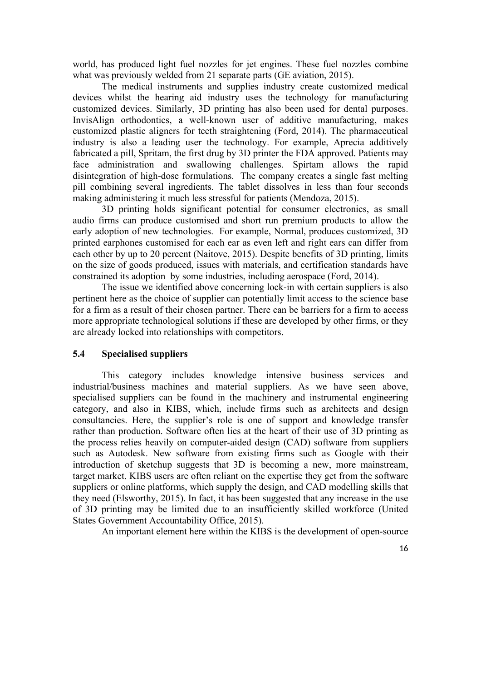world, has produced light fuel nozzles for jet engines. These fuel nozzles combine what was previously welded from 21 separate parts (GE aviation, 2015).

The medical instruments and supplies industry create customized medical devices whilst the hearing aid industry uses the technology for manufacturing customized devices. Similarly, 3D printing has also been used for dental purposes. InvisAlign orthodontics, a well-known user of additive manufacturing, makes customized plastic aligners for teeth straightening (Ford, 2014). The pharmaceutical industry is also a leading user the technology. For example, Aprecia additively fabricated a pill, Spritam, the first drug by 3D printer the FDA approved. Patients may face administration and swallowing challenges. Spirtam allows the rapid disintegration of high-dose formulations. The company creates a single fast melting pill combining several ingredients. The tablet dissolves in less than four seconds making administering it much less stressful for patients (Mendoza, 2015).

3D printing holds significant potential for consumer electronics, as small audio firms can produce customised and short run premium products to allow the early adoption of new technologies. For example, Normal, produces customized, 3D printed earphones customised for each ear as even left and right ears can differ from each other by up to 20 percent (Naitove, 2015). Despite benefits of 3D printing, limits on the size of goods produced, issues with materials, and certification standards have constrained its adoption by some industries, including aerospace (Ford, 2014).

The issue we identified above concerning lock-in with certain suppliers is also pertinent here as the choice of supplier can potentially limit access to the science base for a firm as a result of their chosen partner. There can be barriers for a firm to access more appropriate technological solutions if these are developed by other firms, or they are already locked into relationships with competitors.

## **5.4 Specialised suppliers**

This category includes knowledge intensive business services and industrial/business machines and material suppliers. As we have seen above, specialised suppliers can be found in the machinery and instrumental engineering category, and also in KIBS, which, include firms such as architects and design consultancies. Here, the supplier's role is one of support and knowledge transfer rather than production. Software often lies at the heart of their use of 3D printing as the process relies heavily on computer-aided design (CAD) software from suppliers such as Autodesk. New software from existing firms such as Google with their introduction of sketchup suggests that 3D is becoming a new, more mainstream, target market. KIBS users are often reliant on the expertise they get from the software suppliers or online platforms, which supply the design, and CAD modelling skills that they need (Elsworthy, 2015). In fact, it has been suggested that any increase in the use of 3D printing may be limited due to an insufficiently skilled workforce (United States Government Accountability Office, 2015).

An important element here within the KIBS is the development of open-source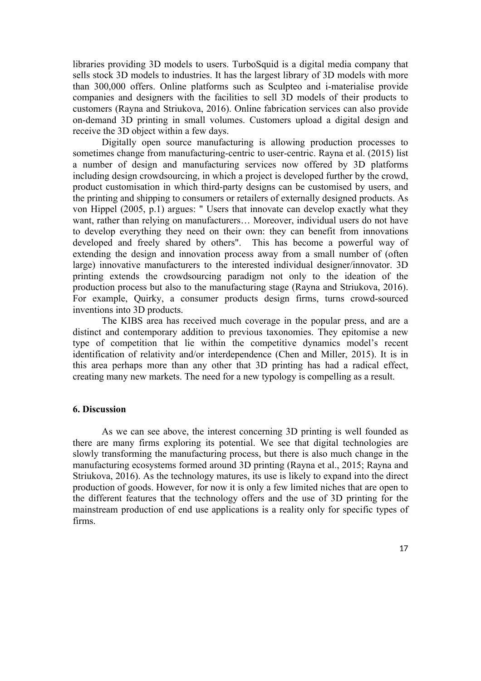libraries providing 3D models to users. TurboSquid is a digital media company that sells stock 3D models to industries. It has the largest library of 3D models with more than 300,000 offers. Online platforms such as Sculpteo and i-materialise provide companies and designers with the facilities to sell 3D models of their products to customers (Rayna and Striukova, 2016). Online fabrication services can also provide on-demand 3D printing in small volumes. Customers upload a digital design and receive the 3D object within a few days.

Digitally open source manufacturing is allowing production processes to sometimes change from manufacturing-centric to user-centric. Rayna et al. (2015) list a number of design and manufacturing services now offered by 3D platforms including design crowdsourcing, in which a project is developed further by the crowd, product customisation in which third-party designs can be customised by users, and the printing and shipping to consumers or retailers of externally designed products. As von Hippel (2005, p.1) argues: " Users that innovate can develop exactly what they want, rather than relying on manufacturers... Moreover, individual users do not have to develop everything they need on their own: they can benefit from innovations developed and freely shared by others". This has become a powerful way of extending the design and innovation process away from a small number of (often large) innovative manufacturers to the interested individual designer/innovator. 3D printing extends the crowdsourcing paradigm not only to the ideation of the production process but also to the manufacturing stage (Rayna and Striukova, 2016). For example, Quirky, a consumer products design firms, turns crowd-sourced inventions into 3D products.

The KIBS area has received much coverage in the popular press, and are a distinct and contemporary addition to previous taxonomies. They epitomise a new type of competition that lie within the competitive dynamics model's recent identification of relativity and/or interdependence (Chen and Miller, 2015). It is in this area perhaps more than any other that 3D printing has had a radical effect, creating many new markets. The need for a new typology is compelling as a result.

## **6. Discussion**

As we can see above, the interest concerning 3D printing is well founded as there are many firms exploring its potential. We see that digital technologies are slowly transforming the manufacturing process, but there is also much change in the manufacturing ecosystems formed around 3D printing (Rayna et al., 2015; Rayna and Striukova, 2016). As the technology matures, its use is likely to expand into the direct production of goods. However, for now it is only a few limited niches that are open to the different features that the technology offers and the use of 3D printing for the mainstream production of end use applications is a reality only for specific types of firms.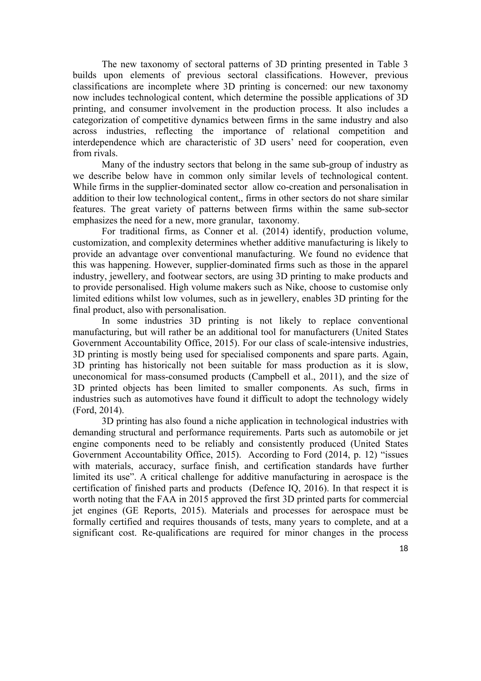The new taxonomy of sectoral patterns of 3D printing presented in Table 3 builds upon elements of previous sectoral classifications. However, previous classifications are incomplete where 3D printing is concerned: our new taxonomy now includes technological content, which determine the possible applications of 3D printing, and consumer involvement in the production process. It also includes a categorization of competitive dynamics between firms in the same industry and also across industries, reflecting the importance of relational competition and interdependence which are characteristic of 3D users' need for cooperation, even from rivals.

Many of the industry sectors that belong in the same sub-group of industry as we describe below have in common only similar levels of technological content. While firms in the supplier-dominated sector allow co-creation and personalisation in addition to their low technological content,, firms in other sectors do not share similar features. The great variety of patterns between firms within the same sub-sector emphasizes the need for a new, more granular, taxonomy.

For traditional firms, as Conner et al. (2014) identify, production volume, customization, and complexity determines whether additive manufacturing is likely to provide an advantage over conventional manufacturing. We found no evidence that this was happening. However, supplier-dominated firms such as those in the apparel industry, jewellery, and footwear sectors, are using 3D printing to make products and to provide personalised. High volume makers such as Nike, choose to customise only limited editions whilst low volumes, such as in jewellery, enables 3D printing for the final product, also with personalisation.

In some industries 3D printing is not likely to replace conventional manufacturing, but will rather be an additional tool for manufacturers (United States Government Accountability Office, 2015). For our class of scale-intensive industries, 3D printing is mostly being used for specialised components and spare parts. Again, 3D printing has historically not been suitable for mass production as it is slow, uneconomical for mass-consumed products (Campbell et al., 2011), and the size of 3D printed objects has been limited to smaller components. As such, firms in industries such as automotives have found it difficult to adopt the technology widely (Ford, 2014).

3D printing has also found a niche application in technological industries with demanding structural and performance requirements. Parts such as automobile or jet engine components need to be reliably and consistently produced (United States Government Accountability Office, 2015). According to Ford (2014, p. 12) "issues with materials, accuracy, surface finish, and certification standards have further limited its use". A critical challenge for additive manufacturing in aerospace is the certification of finished parts and products (Defence IQ, 2016). In that respect it is worth noting that the FAA in 2015 approved the first 3D printed parts for commercial jet engines (GE Reports, 2015). Materials and processes for aerospace must be formally certified and requires thousands of tests, many years to complete, and at a significant cost. Re-qualifications are required for minor changes in the process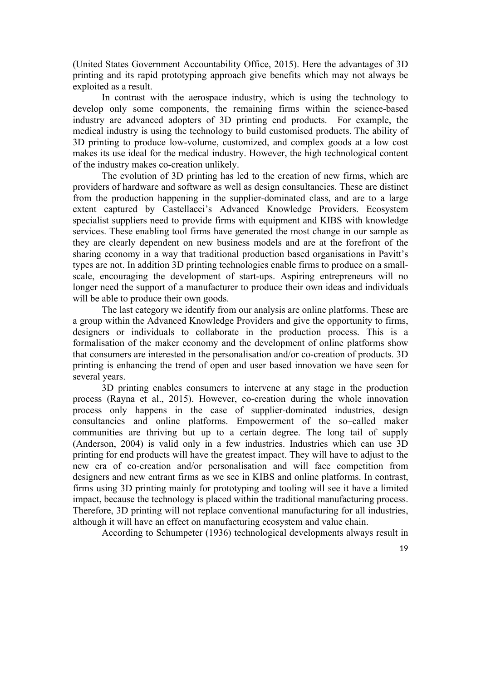(United States Government Accountability Office, 2015). Here the advantages of 3D printing and its rapid prototyping approach give benefits which may not always be exploited as a result.

In contrast with the aerospace industry, which is using the technology to develop only some components, the remaining firms within the science-based industry are advanced adopters of 3D printing end products. For example, the medical industry is using the technology to build customised products. The ability of 3D printing to produce low-volume, customized, and complex goods at a low cost makes its use ideal for the medical industry. However, the high technological content of the industry makes co-creation unlikely.

The evolution of 3D printing has led to the creation of new firms, which are providers of hardware and software as well as design consultancies. These are distinct from the production happening in the supplier-dominated class, and are to a large extent captured by Castellacci's Advanced Knowledge Providers. Ecosystem specialist suppliers need to provide firms with equipment and KIBS with knowledge services. These enabling tool firms have generated the most change in our sample as they are clearly dependent on new business models and are at the forefront of the sharing economy in a way that traditional production based organisations in Pavitt's types are not. In addition 3D printing technologies enable firms to produce on a smallscale, encouraging the development of start-ups. Aspiring entrepreneurs will no longer need the support of a manufacturer to produce their own ideas and individuals will be able to produce their own goods.

The last category we identify from our analysis are online platforms. These are a group within the Advanced Knowledge Providers and give the opportunity to firms, designers or individuals to collaborate in the production process. This is a formalisation of the maker economy and the development of online platforms show that consumers are interested in the personalisation and/or co-creation of products. 3D printing is enhancing the trend of open and user based innovation we have seen for several years.

3D printing enables consumers to intervene at any stage in the production process (Rayna et al., 2015). However, co-creation during the whole innovation process only happens in the case of supplier-dominated industries, design consultancies and online platforms. Empowerment of the so–called maker communities are thriving but up to a certain degree. The long tail of supply (Anderson, 2004) is valid only in a few industries. Industries which can use 3D printing for end products will have the greatest impact. They will have to adjust to the new era of co-creation and/or personalisation and will face competition from designers and new entrant firms as we see in KIBS and online platforms. In contrast, firms using 3D printing mainly for prototyping and tooling will see it have a limited impact, because the technology is placed within the traditional manufacturing process. Therefore, 3D printing will not replace conventional manufacturing for all industries, although it will have an effect on manufacturing ecosystem and value chain.

According to Schumpeter (1936) technological developments always result in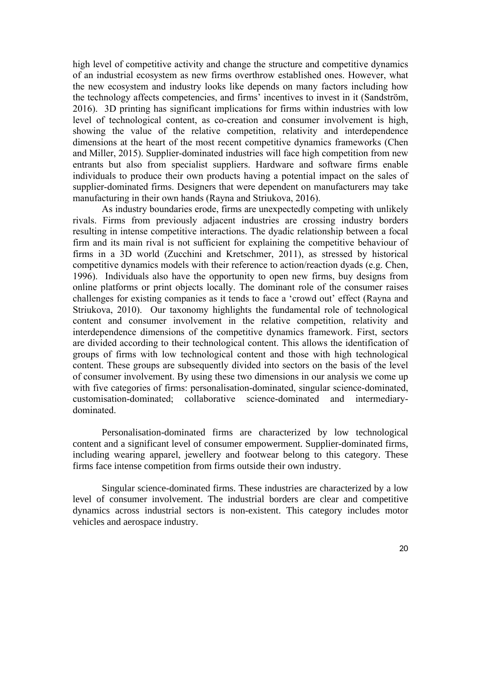high level of competitive activity and change the structure and competitive dynamics of an industrial ecosystem as new firms overthrow established ones. However, what the new ecosystem and industry looks like depends on many factors including how the technology affects competencies, and firms' incentives to invest in it (Sandström, 2016). 3D printing has significant implications for firms within industries with low level of technological content, as co-creation and consumer involvement is high, showing the value of the relative competition, relativity and interdependence dimensions at the heart of the most recent competitive dynamics frameworks (Chen and Miller, 2015). Supplier-dominated industries will face high competition from new entrants but also from specialist suppliers. Hardware and software firms enable individuals to produce their own products having a potential impact on the sales of supplier-dominated firms. Designers that were dependent on manufacturers may take manufacturing in their own hands (Rayna and Striukova, 2016).

As industry boundaries erode, firms are unexpectedly competing with unlikely rivals. Firms from previously adjacent industries are crossing industry borders resulting in intense competitive interactions. The dyadic relationship between a focal firm and its main rival is not sufficient for explaining the competitive behaviour of firms in a 3D world (Zucchini and Kretschmer, 2011), as stressed by historical competitive dynamics models with their reference to action/reaction dyads (e.g. Chen, 1996). Individuals also have the opportunity to open new firms, buy designs from online platforms or print objects locally. The dominant role of the consumer raises challenges for existing companies as it tends to face a 'crowd out' effect (Rayna and Striukova, 2010). Our taxonomy highlights the fundamental role of technological content and consumer involvement in the relative competition, relativity and interdependence dimensions of the competitive dynamics framework. First, sectors are divided according to their technological content. This allows the identification of groups of firms with low technological content and those with high technological content. These groups are subsequently divided into sectors on the basis of the level of consumer involvement. By using these two dimensions in our analysis we come up with five categories of firms: personalisation-dominated, singular science-dominated, customisation-dominated; collaborative science-dominated and intermediarydominated.

Personalisation-dominated firms are characterized by low technological content and a significant level of consumer empowerment. Supplier-dominated firms, including wearing apparel, jewellery and footwear belong to this category. These firms face intense competition from firms outside their own industry.

Singular science-dominated firms. These industries are characterized by a low level of consumer involvement. The industrial borders are clear and competitive dynamics across industrial sectors is non-existent. This category includes motor vehicles and aerospace industry.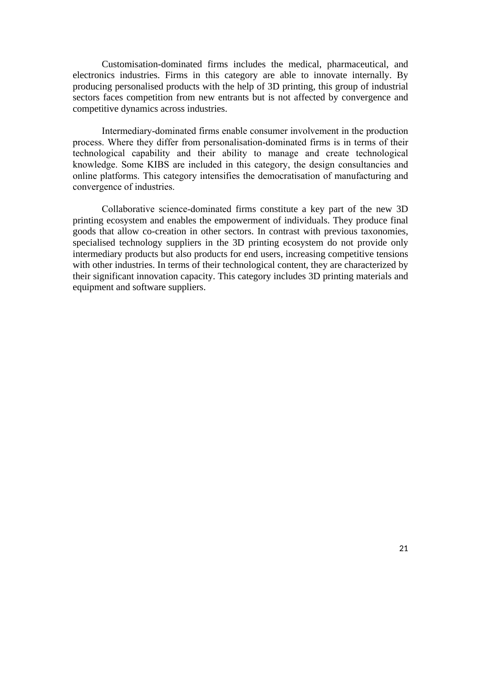Customisation-dominated firms includes the medical, pharmaceutical, and electronics industries. Firms in this category are able to innovate internally. By producing personalised products with the help of 3D printing, this group of industrial sectors faces competition from new entrants but is not affected by convergence and competitive dynamics across industries.

Intermediary-dominated firms enable consumer involvement in the production process. Where they differ from personalisation-dominated firms is in terms of their technological capability and their ability to manage and create technological knowledge. Some KIBS are included in this category, the design consultancies and online platforms. This category intensifies the democratisation of manufacturing and convergence of industries.

Collaborative science-dominated firms constitute a key part of the new 3D printing ecosystem and enables the empowerment of individuals. They produce final goods that allow co-creation in other sectors. In contrast with previous taxonomies, specialised technology suppliers in the 3D printing ecosystem do not provide only intermediary products but also products for end users, increasing competitive tensions with other industries. In terms of their technological content, they are characterized by their significant innovation capacity. This category includes 3D printing materials and equipment and software suppliers.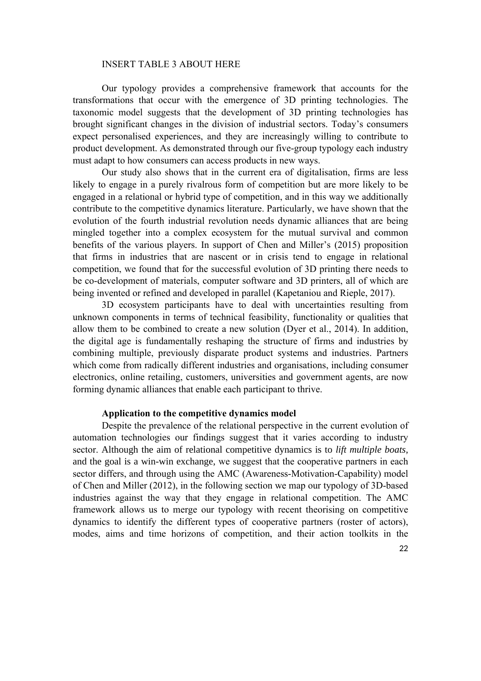### INSERT TABLE 3 ABOUT HERE

Our typology provides a comprehensive framework that accounts for the transformations that occur with the emergence of 3D printing technologies. The taxonomic model suggests that the development of 3D printing technologies has brought significant changes in the division of industrial sectors. Today's consumers expect personalised experiences, and they are increasingly willing to contribute to product development. As demonstrated through our five-group typology each industry must adapt to how consumers can access products in new ways.

Our study also shows that in the current era of digitalisation, firms are less likely to engage in a purely rivalrous form of competition but are more likely to be engaged in a relational or hybrid type of competition, and in this way we additionally contribute to the competitive dynamics literature. Particularly, we have shown that the evolution of the fourth industrial revolution needs dynamic alliances that are being mingled together into a complex ecosystem for the mutual survival and common benefits of the various players. In support of Chen and Miller's (2015) proposition that firms in industries that are nascent or in crisis tend to engage in relational competition, we found that for the successful evolution of 3D printing there needs to be co-development of materials, computer software and 3D printers, all of which are being invented or refined and developed in parallel (Kapetaniou and Rieple, 2017).

3D ecosystem participants have to deal with uncertainties resulting from unknown components in terms of technical feasibility, functionality or qualities that allow them to be combined to create a new solution (Dyer et al., 2014). In addition, the digital age is fundamentally reshaping the structure of firms and industries by combining multiple, previously disparate product systems and industries. Partners which come from radically different industries and organisations, including consumer electronics, online retailing, customers, universities and government agents, are now forming dynamic alliances that enable each participant to thrive.

### **Application to the competitive dynamics model**

Despite the prevalence of the relational perspective in the current evolution of automation technologies our findings suggest that it varies according to industry sector. Although the aim of relational competitive dynamics is to *lift multiple boats*, and the goal is a win-win exchange, we suggest that the cooperative partners in each sector differs, and through using the AMC (Awareness-Motivation-Capability) model of Chen and Miller (2012), in the following section we map our typology of 3D-based industries against the way that they engage in relational competition. The AMC framework allows us to merge our typology with recent theorising on competitive dynamics to identify the different types of cooperative partners (roster of actors), modes, aims and time horizons of competition, and their action toolkits in the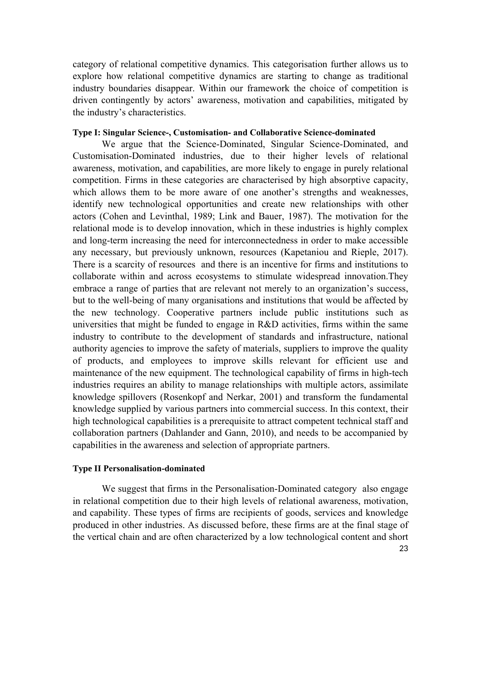category of relational competitive dynamics. This categorisation further allows us to explore how relational competitive dynamics are starting to change as traditional industry boundaries disappear. Within our framework the choice of competition is driven contingently by actors' awareness, motivation and capabilities, mitigated by the industry's characteristics.

## **Type I: Singular Science-, Customisation- and Collaborative Science-dominated**

We argue that the Science-Dominated, Singular Science-Dominated, and Customisation-Dominated industries, due to their higher levels of relational awareness, motivation, and capabilities, are more likely to engage in purely relational competition. Firms in these categories are characterised by high absorptive capacity, which allows them to be more aware of one another's strengths and weaknesses, identify new technological opportunities and create new relationships with other actors (Cohen and Levinthal, 1989; Link and Bauer, 1987). The motivation for the relational mode is to develop innovation, which in these industries is highly complex and long-term increasing the need for interconnectedness in order to make accessible any necessary, but previously unknown, resources (Kapetaniou and Rieple, 2017). There is a scarcity of resources and there is an incentive for firms and institutions to collaborate within and across ecosystems to stimulate widespread innovation.They embrace a range of parties that are relevant not merely to an organization's success, but to the well-being of many organisations and institutions that would be affected by the new technology. Cooperative partners include public institutions such as universities that might be funded to engage in R&D activities, firms within the same industry to contribute to the development of standards and infrastructure, national authority agencies to improve the safety of materials, suppliers to improve the quality of products, and employees to improve skills relevant for efficient use and maintenance of the new equipment. The technological capability of firms in high-tech industries requires an ability to manage relationships with multiple actors, assimilate knowledge spillovers (Rosenkopf and Nerkar, 2001) and transform the fundamental knowledge supplied by various partners into commercial success. In this context, their high technological capabilities is a prerequisite to attract competent technical staff and collaboration partners (Dahlander and Gann, 2010), and needs to be accompanied by capabilities in the awareness and selection of appropriate partners.

### **Type II Personalisation-dominated**

23 We suggest that firms in the Personalisation-Dominated category also engage in relational competition due to their high levels of relational awareness, motivation, and capability. These types of firms are recipients of goods, services and knowledge produced in other industries. As discussed before, these firms are at the final stage of the vertical chain and are often characterized by a low technological content and short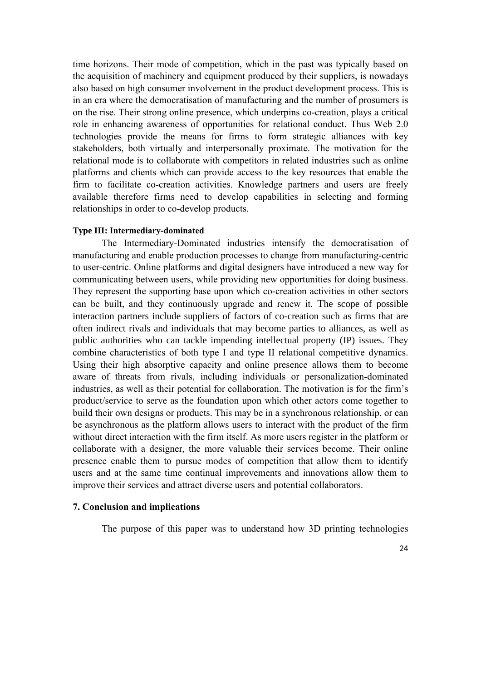time horizons. Their mode of competition, which in the past was typically based on the acquisition of machinery and equipment produced by their suppliers, is nowadays also based on high consumer involvement in the product development process. This is in an era where the democratisation of manufacturing and the number of prosumers is on the rise. Their strong online presence, which underpins co-creation, plays a critical role in enhancing awareness of opportunities for relational conduct. Thus Web 2.0 technologies provide the means for firms to form strategic alliances with key stakeholders, both virtually and interpersonally proximate. The motivation for the relational mode is to collaborate with competitors in related industries such as online platforms and clients which can provide access to the key resources that enable the firm to facilitate co-creation activities. Knowledge partners and users are freely available therefore firms need to develop capabilities in selecting and forming relationships in order to co-develop products.

#### **Type III: Intermediary-dominated**

The Intermediary-Dominated industries intensify the democratisation of manufacturing and enable production processes to change from manufacturing-centric to user-centric. Online platforms and digital designers have introduced a new way for communicating between users, while providing new opportunities for doing business. They represent the supporting base upon which co-creation activities in other sectors can be built, and they continuously upgrade and renew it. The scope of possible interaction partners include suppliers of factors of co-creation such as firms that are often indirect rivals and individuals that may become parties to alliances, as well as public authorities who can tackle impending intellectual property (IP) issues. They combine characteristics of both type I and type II relational competitive dynamics. Using their high absorptive capacity and online presence allows them to become aware of threats from rivals, including individuals or personalization-dominated industries, as well as their potential for collaboration. The motivation is for the firm's product/service to serve as the foundation upon which other actors come together to build their own designs or products. This may be in a synchronous relationship, or can be asynchronous as the platform allows users to interact with the product of the firm without direct interaction with the firm itself. As more users register in the platform or collaborate with a designer, the more valuable their services become. Their online presence enable them to pursue modes of competition that allow them to identify users and at the same time continual improvements and innovations allow them to improve their services and attract diverse users and potential collaborators.

#### **7. Conclusion and implications**

The purpose of this paper was to understand how 3D printing technologies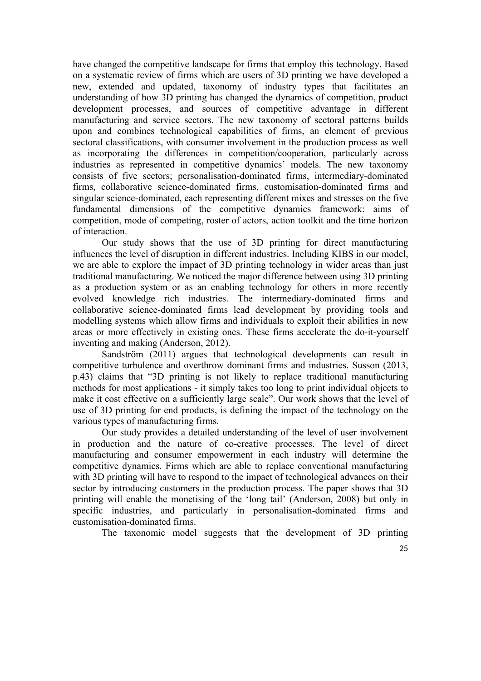have changed the competitive landscape for firms that employ this technology. Based on a systematic review of firms which are users of 3D printing we have developed a new, extended and updated, taxonomy of industry types that facilitates an understanding of how 3D printing has changed the dynamics of competition, product development processes, and sources of competitive advantage in different manufacturing and service sectors. The new taxonomy of sectoral patterns builds upon and combines technological capabilities of firms, an element of previous sectoral classifications, with consumer involvement in the production process as well as incorporating the differences in competition/cooperation, particularly across industries as represented in competitive dynamics' models. The new taxonomy consists of five sectors; personalisation-dominated firms, intermediary-dominated firms, collaborative science-dominated firms, customisation-dominated firms and singular science-dominated, each representing different mixes and stresses on the five fundamental dimensions of the competitive dynamics framework: aims of competition, mode of competing, roster of actors, action toolkit and the time horizon of interaction.

Our study shows that the use of 3D printing for direct manufacturing influences the level of disruption in different industries. Including KIBS in our model, we are able to explore the impact of 3D printing technology in wider areas than just traditional manufacturing. We noticed the major difference between using 3D printing as a production system or as an enabling technology for others in more recently evolved knowledge rich industries. The intermediary-dominated firms and collaborative science-dominated firms lead development by providing tools and modelling systems which allow firms and individuals to exploit their abilities in new areas or more effectively in existing ones. These firms accelerate the do-it-yourself inventing and making (Anderson, 2012).

Sandström (2011) argues that technological developments can result in competitive turbulence and overthrow dominant firms and industries. Susson (2013, p.43) claims that "3D printing is not likely to replace traditional manufacturing methods for most applications - it simply takes too long to print individual objects to make it cost effective on a sufficiently large scale". Our work shows that the level of use of 3D printing for end products, is defining the impact of the technology on the various types of manufacturing firms.

Our study provides a detailed understanding of the level of user involvement in production and the nature of co-creative processes. The level of direct manufacturing and consumer empowerment in each industry will determine the competitive dynamics. Firms which are able to replace conventional manufacturing with 3D printing will have to respond to the impact of technological advances on their sector by introducing customers in the production process. The paper shows that 3D printing will enable the monetising of the 'long tail' (Anderson, 2008) but only in specific industries, and particularly in personalisation-dominated firms and customisation-dominated firms.

The taxonomic model suggests that the development of 3D printing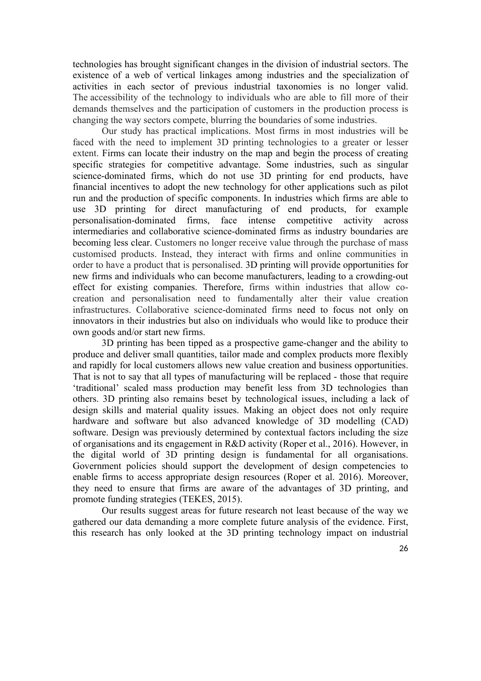technologies has brought significant changes in the division of industrial sectors. The existence of a web of vertical linkages among industries and the specialization of activities in each sector of previous industrial taxonomies is no longer valid. The accessibility of the technology to individuals who are able to fill more of their demands themselves and the participation of customers in the production process is changing the way sectors compete, blurring the boundaries of some industries.

Our study has practical implications. Most firms in most industries will be faced with the need to implement 3D printing technologies to a greater or lesser extent. Firms can locate their industry on the map and begin the process of creating specific strategies for competitive advantage. Some industries, such as singular science-dominated firms, which do not use 3D printing for end products, have financial incentives to adopt the new technology for other applications such as pilot run and the production of specific components. In industries which firms are able to use 3D printing for direct manufacturing of end products, for example personalisation-dominated firms, face intense competitive activity across intermediaries and collaborative science-dominated firms as industry boundaries are becoming less clear. Customers no longer receive value through the purchase of mass customised products. Instead, they interact with firms and online communities in order to have a product that is personalised. 3D printing will provide opportunities for new firms and individuals who can become manufacturers, leading to a crowding-out effect for existing companies. Therefore, firms within industries that allow cocreation and personalisation need to fundamentally alter their value creation infrastructures. Collaborative science-dominated firms need to focus not only on innovators in their industries but also on individuals who would like to produce their own goods and/or start new firms.

3D printing has been tipped as a prospective game-changer and the ability to produce and deliver small quantities, tailor made and complex products more flexibly and rapidly for local customers allows new value creation and business opportunities. That is not to say that all types of manufacturing will be replaced - those that require 'traditional' scaled mass production may benefit less from 3D technologies than others. 3D printing also remains beset by technological issues, including a lack of design skills and material quality issues. Making an object does not only require hardware and software but also advanced knowledge of 3D modelling (CAD) software. Design was previously determined by contextual factors including the size of organisations and its engagement in R&D activity (Roper et al., 2016). However, in the digital world of 3D printing design is fundamental for all organisations. Government policies should support the development of design competencies to enable firms to access appropriate design resources (Roper et al. 2016). Moreover, they need to ensure that firms are aware of the advantages of 3D printing, and promote funding strategies (TEKES, 2015).

Our results suggest areas for future research not least because of the way we gathered our data demanding a more complete future analysis of the evidence. First, this research has only looked at the 3D printing technology impact on industrial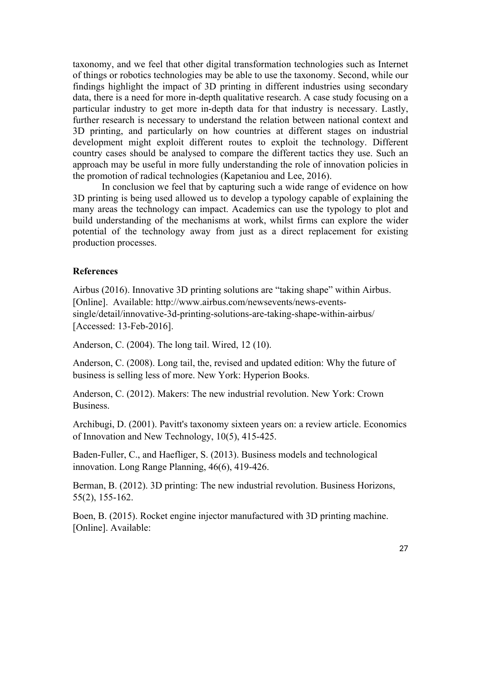taxonomy, and we feel that other digital transformation technologies such as Internet of things or robotics technologies may be able to use the taxonomy. Second, while our findings highlight the impact of 3D printing in different industries using secondary data, there is a need for more in-depth qualitative research. A case study focusing on a particular industry to get more in-depth data for that industry is necessary. Lastly, further research is necessary to understand the relation between national context and 3D printing, and particularly on how countries at different stages on industrial development might exploit different routes to exploit the technology. Different country cases should be analysed to compare the different tactics they use. Such an approach may be useful in more fully understanding the role of innovation policies in the promotion of radical technologies (Kapetaniou and Lee, 2016).

In conclusion we feel that by capturing such a wide range of evidence on how 3D printing is being used allowed us to develop a typology capable of explaining the many areas the technology can impact. Academics can use the typology to plot and build understanding of the mechanisms at work, whilst firms can explore the wider potential of the technology away from just as a direct replacement for existing production processes.

## **References**

Airbus (2016). Innovative 3D printing solutions are "taking shape" within Airbus. [Online]. Available: http://www.airbus.com/newsevents/news-eventssingle/detail/innovative-3d-printing-solutions-are-taking-shape-within-airbus/ [Accessed: 13-Feb-2016].

Anderson, C. (2004). The long tail. Wired, 12 (10).

Anderson, C. (2008). Long tail, the, revised and updated edition: Why the future of business is selling less of more. New York: Hyperion Books.

Anderson, C. (2012). Makers: The new industrial revolution. New York: Crown Business.

Archibugi, D. (2001). Pavitt's taxonomy sixteen years on: a review article. Economics of Innovation and New Technology, 10(5), 415-425.

Baden-Fuller, C., and Haefliger, S. (2013). Business models and technological innovation. Long Range Planning, 46(6), 419-426.

Berman, B. (2012). 3D printing: The new industrial revolution. Business Horizons, 55(2), 155-162.

Boen, B. (2015). Rocket engine injector manufactured with 3D printing machine. [Online]. Available: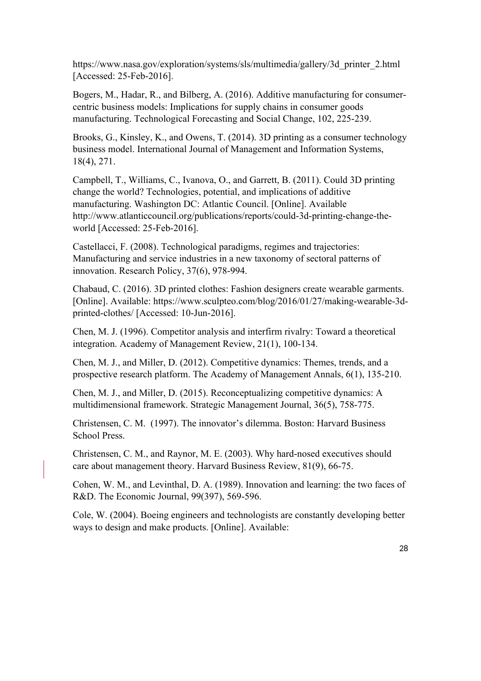https://www.nasa.gov/exploration/systems/sls/multimedia/gallery/3d\_printer\_2.html [Accessed: 25-Feb-2016].

Bogers, M., Hadar, R., and Bilberg, A. (2016). Additive manufacturing for consumercentric business models: Implications for supply chains in consumer goods manufacturing. Technological Forecasting and Social Change, 102, 225-239.

Brooks, G., Kinsley, K., and Owens, T. (2014). 3D printing as a consumer technology business model. International Journal of Management and Information Systems, 18(4), 271.

Campbell, T., Williams, C., Ivanova, O., and Garrett, B. (2011). Could 3D printing change the world? Technologies, potential, and implications of additive manufacturing. Washington DC: Atlantic Council. [Online]. Available http://www.atlanticcouncil.org/publications/reports/could-3d-printing-change-theworld [Accessed: 25-Feb-2016].

Castellacci, F. (2008). Technological paradigms, regimes and trajectories: Manufacturing and service industries in a new taxonomy of sectoral patterns of innovation. Research Policy, 37(6), 978-994.

Chabaud, C. (2016). 3D printed clothes: Fashion designers create wearable garments. [Online]. Available: https://www.sculpteo.com/blog/2016/01/27/making-wearable-3dprinted-clothes/ [Accessed: 10-Jun-2016].

Chen, M. J. (1996). Competitor analysis and interfirm rivalry: Toward a theoretical integration. Academy of Management Review, 21(1), 100-134.

Chen, M. J., and Miller, D. (2012). Competitive dynamics: Themes, trends, and a prospective research platform. The Academy of Management Annals, 6(1), 135-210.

Chen, M. J., and Miller, D. (2015). Reconceptualizing competitive dynamics: A multidimensional framework. Strategic Management Journal, 36(5), 758-775.

Christensen, C. M. (1997). The innovator's dilemma. Boston: Harvard Business School Press.

Christensen, C. M., and Raynor, M. E. (2003). Why hard-nosed executives should care about management theory. Harvard Business Review, 81(9), 66-75.

Cohen, W. M., and Levinthal, D. A. (1989). Innovation and learning: the two faces of R&D. The Economic Journal, 99(397), 569-596.

Cole, W. (2004). Boeing engineers and technologists are constantly developing better ways to design and make products. [Online]. Available: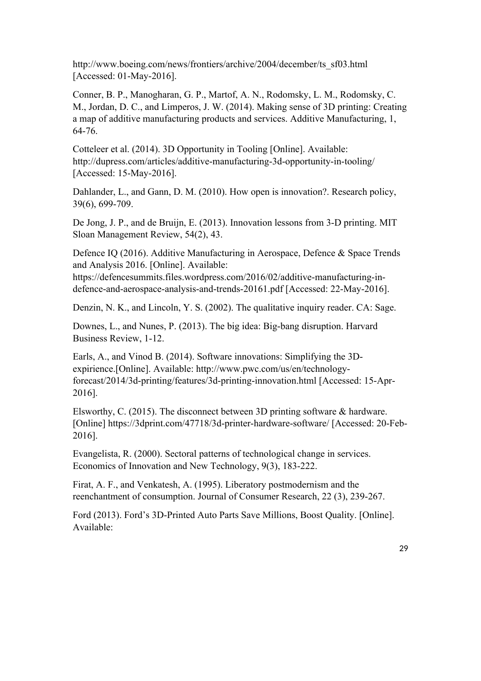http://www.boeing.com/news/frontiers/archive/2004/december/ts\_sf03.html [Accessed: 01-May-2016].

Conner, B. P., Manogharan, G. P., Martof, A. N., Rodomsky, L. M., Rodomsky, C. M., Jordan, D. C., and Limperos, J. W. (2014). Making sense of 3D printing: Creating a map of additive manufacturing products and services. Additive Manufacturing, 1, 64-76.

Cotteleer et al. (2014). 3D Opportunity in Tooling [Online]. Available: http://dupress.com/articles/additive-manufacturing-3d-opportunity-in-tooling/ [Accessed: 15-May-2016].

Dahlander, L., and Gann, D. M. (2010). How open is innovation?. Research policy, 39(6), 699-709.

De Jong, J. P., and de Bruijn, E. (2013). Innovation lessons from 3-D printing. MIT Sloan Management Review, 54(2), 43.

Defence IQ (2016). Additive Manufacturing in Aerospace, Defence & Space Trends and Analysis 2016. [Online]. Available:

https://defencesummits.files.wordpress.com/2016/02/additive-manufacturing-indefence-and-aerospace-analysis-and-trends-20161.pdf [Accessed: 22-May-2016].

Denzin, N. K., and Lincoln, Y. S. (2002). The qualitative inquiry reader. CA: Sage.

Downes, L., and Nunes, P. (2013). The big idea: Big-bang disruption. Harvard Business Review, 1-12.

Earls, A., and Vinod B. (2014). Software innovations: Simplifying the 3Dexpirience.[Online]. Available: http://www.pwc.com/us/en/technologyforecast/2014/3d-printing/features/3d-printing-innovation.html [Accessed: 15-Apr-2016].

Elsworthy, C. (2015). The disconnect between 3D printing software & hardware. [Online] https://3dprint.com/47718/3d-printer-hardware-software/ [Accessed: 20-Feb-2016].

Evangelista, R. (2000). Sectoral patterns of technological change in services. Economics of Innovation and New Technology, 9(3), 183-222.

Firat, A. F., and Venkatesh, A. (1995). Liberatory postmodernism and the reenchantment of consumption. Journal of Consumer Research, 22 (3), 239-267.

Ford (2013). Ford's 3D-Printed Auto Parts Save Millions, Boost Quality. [Online]. Available: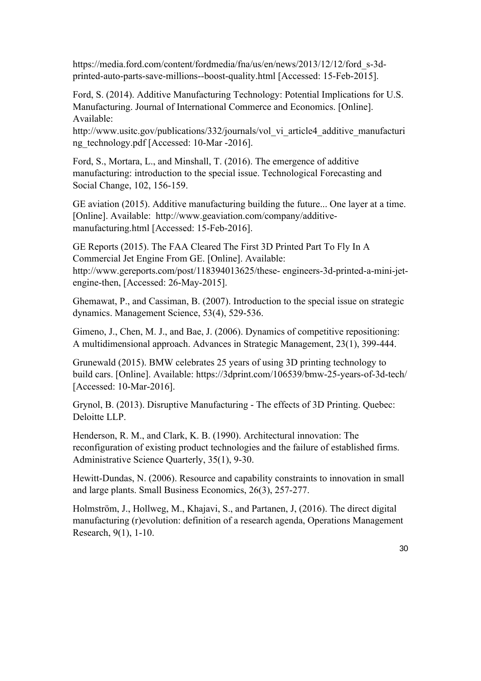https://media.ford.com/content/fordmedia/fna/us/en/news/2013/12/12/ford\_s-3dprinted-auto-parts-save-millions--boost-quality.html [Accessed: 15-Feb-2015].

Ford, S. (2014). Additive Manufacturing Technology: Potential Implications for U.S. Manufacturing. Journal of International Commerce and Economics. [Online]. Available:

http://www.usitc.gov/publications/332/journals/vol\_vi\_article4\_additive\_manufacturi ng\_technology.pdf [Accessed: 10-Mar -2016].

Ford, S., Mortara, L., and Minshall, T. (2016). The emergence of additive manufacturing: introduction to the special issue. Technological Forecasting and Social Change, 102, 156-159.

GE aviation (2015). Additive manufacturing building the future... One layer at a time. [Online]. Available: http://www.geaviation.com/company/additivemanufacturing.html [Accessed: 15-Feb-2016].

GE Reports (2015). The FAA Cleared The First 3D Printed Part To Fly In A Commercial Jet Engine From GE. [Online]. Available: http://www.gereports.com/post/118394013625/these- engineers-3d-printed-a-mini-jetengine-then, [Accessed: 26-May-2015].

Ghemawat, P., and Cassiman, B. (2007). Introduction to the special issue on strategic dynamics. Management Science, 53(4), 529-536.

Gimeno, J., Chen, M. J., and Bae, J. (2006). Dynamics of competitive repositioning: A multidimensional approach. Advances in Strategic Management, 23(1), 399-444.

Grunewald (2015). BMW celebrates 25 years of using 3D printing technology to build cars. [Online]. Available: https://3dprint.com/106539/bmw-25-years-of-3d-tech/ [Accessed: 10-Mar-2016].

Grynol, B. (2013). Disruptive Manufacturing - The effects of 3D Printing. Quebec: Deloitte LLP.

Henderson, R. M., and Clark, K. B. (1990). Architectural innovation: The reconfiguration of existing product technologies and the failure of established firms. Administrative Science Quarterly, 35(1), 9-30.

Hewitt-Dundas, N. (2006). Resource and capability constraints to innovation in small and large plants. Small Business Economics, 26(3), 257-277.

Holmström, J., Hollweg, M., Khajavi, S., and Partanen, J, (2016). The direct digital manufacturing (r)evolution: definition of a research agenda, Operations Management Research, 9(1), 1-10.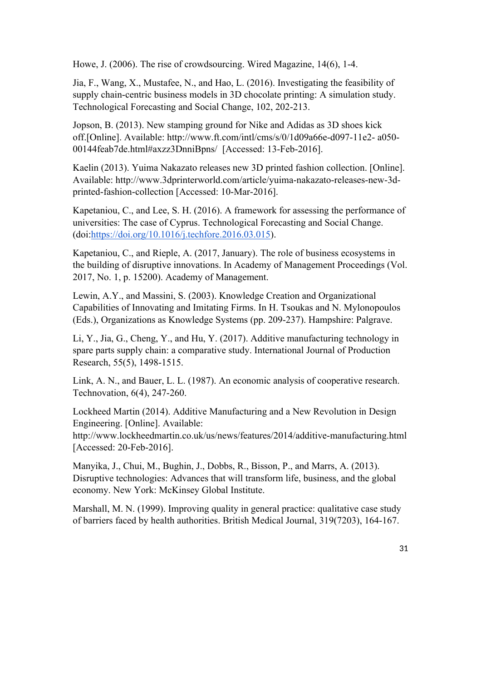Howe, J. (2006). The rise of crowdsourcing. Wired Magazine, 14(6), 1-4.

Jia, F., Wang, X., Mustafee, N., and Hao, L. (2016). Investigating the feasibility of supply chain-centric business models in 3D chocolate printing: A simulation study. Technological Forecasting and Social Change, 102, 202-213.

Jopson, B. (2013). New stamping ground for Nike and Adidas as 3D shoes kick off.[Online]. Available: http://www.ft.com/intl/cms/s/0/1d09a66e-d097-11e2- a050- 00144feab7de.html#axzz3DnniBpns/ [Accessed: 13-Feb-2016].

Kaelin (2013). Yuima Nakazato releases new 3D printed fashion collection. [Online]. Available: http://www.3dprinterworld.com/article/yuima-nakazato-releases-new-3dprinted-fashion-collection [Accessed: 10-Mar-2016].

Kapetaniou, C., and Lee, S. H. (2016). A framework for assessing the performance of universities: The case of Cyprus. Technological Forecasting and Social Change. (doi:[https://doi.org/10.1016/j.techfore.2016.03.015\)](https://doi.org/10.1016/j.techfore.2016.03.015).

Kapetaniou, C., and Rieple, A. (2017, January). The role of business ecosystems in the building of disruptive innovations. In Academy of Management Proceedings (Vol. 2017, No. 1, p. 15200). Academy of Management.

Lewin, A.Y., and Massini, S. (2003). Knowledge Creation and Organizational Capabilities of Innovating and Imitating Firms. In H. Tsoukas and N. Mylonopoulos (Eds.), Organizations as Knowledge Systems (pp. 209-237). Hampshire: Palgrave.

Li, Y., Jia, G., Cheng, Y., and Hu, Y. (2017). Additive manufacturing technology in spare parts supply chain: a comparative study. International Journal of Production Research, 55(5), 1498-1515.

Link, A. N., and Bauer, L. L. (1987). An economic analysis of cooperative research. Technovation, 6(4), 247-260.

Lockheed Martin (2014). Additive Manufacturing and a New Revolution in Design Engineering. [Online]. Available:

http://www.lockheedmartin.co.uk/us/news/features/2014/additive-manufacturing.html [Accessed: 20-Feb-2016].

Manyika, J., Chui, M., Bughin, J., Dobbs, R., Bisson, P., and Marrs, A. (2013). Disruptive technologies: Advances that will transform life, business, and the global economy. New York: McKinsey Global Institute.

Marshall, M. N. (1999). Improving quality in general practice: qualitative case study of barriers faced by health authorities. British Medical Journal, 319(7203), 164-167.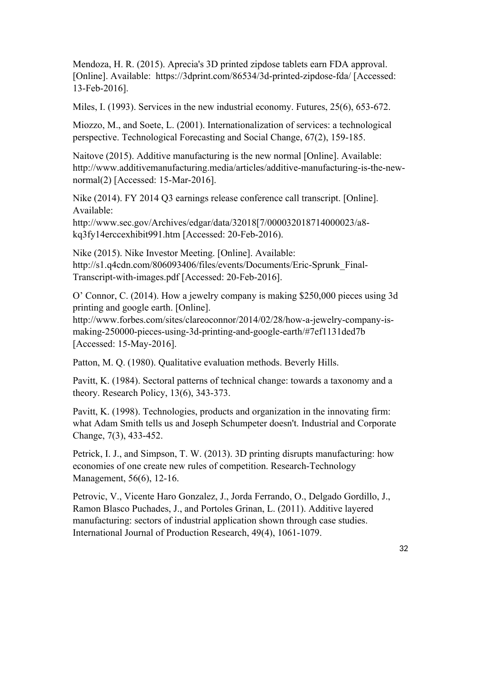Mendoza, H. R. (2015). Aprecia's 3D printed zipdose tablets earn FDA approval. [Online]. Available: https://3dprint.com/86534/3d-printed-zipdose-fda/ [Accessed: 13-Feb-2016].

Miles, I. (1993). Services in the new industrial economy. Futures, 25(6), 653-672.

Miozzo, M., and Soete, L. (2001). Internationalization of services: a technological perspective. Technological Forecasting and Social Change, 67(2), 159-185.

Naitove (2015). Additive manufacturing is the new normal [Online]. Available: http://www.additivemanufacturing.media/articles/additive-manufacturing-is-the-newnormal(2) [Accessed: 15-Mar-2016].

Nike (2014). FY 2014 Q3 earnings release conference call transcript. [Online]. Available:

http://www.sec.gov/Archives/edgar/data/32018[7/000032018714000023/a8 kq3fy14erccexhibit991.htm [Accessed: 20-Feb-2016).

Nike (2015). Nike Investor Meeting. [Online]. Available: http://s1.q4cdn.com/806093406/files/events/Documents/Eric-Sprunk\_Final-Transcript-with-images.pdf [Accessed: 20-Feb-2016].

O' Connor, C. (2014). How a jewelry company is making \$250,000 pieces using 3d printing and google earth. [Online].

http://www.forbes.com/sites/clareoconnor/2014/02/28/how-a-jewelry-company-ismaking-250000-pieces-using-3d-printing-and-google-earth/#7ef1131ded7b [Accessed: 15-May-2016].

Patton, M. Q. (1980). Qualitative evaluation methods. Beverly Hills.

Pavitt, K. (1984). Sectoral patterns of technical change: towards a taxonomy and a theory. Research Policy, 13(6), 343-373.

Pavitt, K. (1998). Technologies, products and organization in the innovating firm: what Adam Smith tells us and Joseph Schumpeter doesn't. Industrial and Corporate Change, 7(3), 433-452.

Petrick, I. J., and Simpson, T. W. (2013). 3D printing disrupts manufacturing: how economies of one create new rules of competition. Research-Technology Management, 56(6), 12-16.

Petrovic, V., Vicente Haro Gonzalez, J., Jorda Ferrando, O., Delgado Gordillo, J., Ramon Blasco Puchades, J., and Portoles Grinan, L. (2011). Additive layered manufacturing: sectors of industrial application shown through case studies. International Journal of Production Research, 49(4), 1061-1079.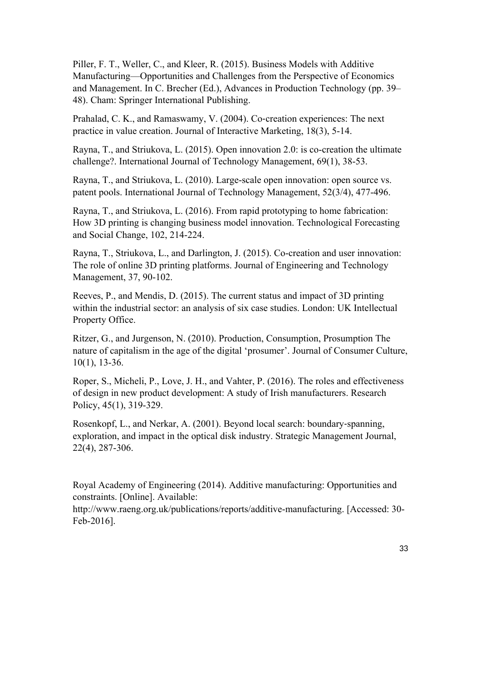Piller, F. T., Weller, C., and Kleer, R. (2015). Business Models with Additive Manufacturing—Opportunities and Challenges from the Perspective of Economics and Management. In C. Brecher (Ed.), Advances in Production Technology (pp. 39– 48). Cham: Springer International Publishing.

Prahalad, C. K., and Ramaswamy, V. (2004). Co-creation experiences: The next practice in value creation. Journal of Interactive Marketing, 18(3), 5-14.

Rayna, T., and Striukova, L. (2015). Open innovation 2.0: is co-creation the ultimate challenge?. International Journal of Technology Management, 69(1), 38-53.

Rayna, T., and Striukova, L. (2010). Large-scale open innovation: open source vs. patent pools. International Journal of Technology Management, 52(3/4), 477-496.

Rayna, T., and Striukova, L. (2016). From rapid prototyping to home fabrication: How 3D printing is changing business model innovation. Technological Forecasting and Social Change, 102, 214-224.

Rayna, T., Striukova, L., and Darlington, J. (2015). Co-creation and user innovation: The role of online 3D printing platforms. Journal of Engineering and Technology Management, 37, 90-102.

Reeves, P., and Mendis, D. (2015). The current status and impact of 3D printing within the industrial sector: an analysis of six case studies. London: UK Intellectual Property Office.

Ritzer, G., and Jurgenson, N. (2010). Production, Consumption, Prosumption The nature of capitalism in the age of the digital 'prosumer'. Journal of Consumer Culture, 10(1), 13-36.

Roper, S., Micheli, P., Love, J. H., and Vahter, P. (2016). The roles and effectiveness of design in new product development: A study of Irish manufacturers. Research Policy, 45(1), 319-329.

Rosenkopf, L., and Nerkar, A. (2001). Beyond local search: boundary‐spanning, exploration, and impact in the optical disk industry. Strategic Management Journal, 22(4), 287-306.

Royal Academy of Engineering (2014). Additive manufacturing: Opportunities and constraints. [Online]. Available:

http://www.raeng.org.uk/publications/reports/additive-manufacturing. [Accessed: 30- Feb-2016].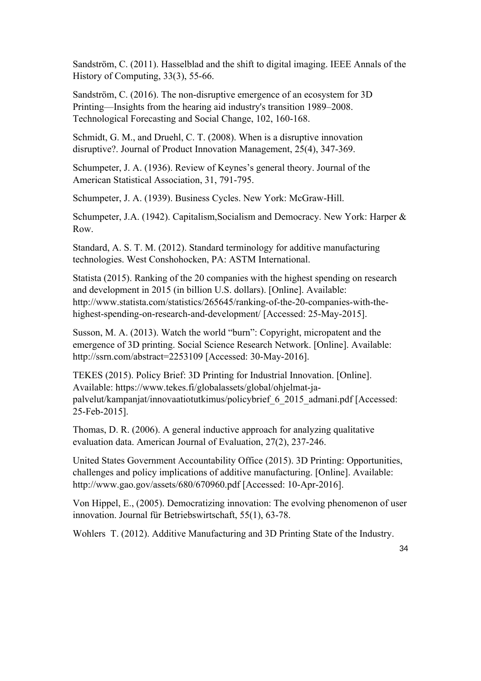Sandström, C. (2011). Hasselblad and the shift to digital imaging. IEEE Annals of the History of Computing, 33(3), 55-66.

Sandström, C. (2016). The non-disruptive emergence of an ecosystem for 3D Printing—Insights from the hearing aid industry's transition 1989–2008. Technological Forecasting and Social Change, 102, 160-168.

Schmidt, G. M., and Druehl, C. T. (2008). When is a disruptive innovation disruptive?. Journal of Product Innovation Management, 25(4), 347-369.

Schumpeter, J. A. (1936). Review of Keynes's general theory. Journal of the American Statistical Association, 31, 791-795.

Schumpeter, J. A. (1939). Business Cycles. New York: McGraw-Hill.

Schumpeter, J.A. (1942). Capitalism,Socialism and Democracy. New York: Harper & Row.

Standard, A. S. T. M. (2012). Standard terminology for additive manufacturing technologies. West Conshohocken, PA: ASTM International.

Statista (2015). Ranking of the 20 companies with the highest spending on research and development in 2015 (in billion U.S. dollars). [Online]. Available: http://www.statista.com/statistics/265645/ranking-of-the-20-companies-with-thehighest-spending-on-research-and-development/ [Accessed: 25-May-2015].

Susson, M. A. (2013). Watch the world "burn": Copyright, micropatent and the emergence of 3D printing. Social Science Research Network. [Online]. Available: http://ssrn.com/abstract=2253109 [Accessed: 30-May-2016].

TEKES (2015). Policy Brief: 3D Printing for Industrial Innovation. [Online]. Available: https://www.tekes.fi/globalassets/global/ohjelmat-japalvelut/kampanjat/innovaatiotutkimus/policybrief\_6\_2015\_admani.pdf [Accessed: 25-Feb-2015].

Thomas, D. R. (2006). A general inductive approach for analyzing qualitative evaluation data. American Journal of Evaluation, 27(2), 237-246.

United States Government Accountability Office (2015). 3D Printing: Opportunities, challenges and policy implications of additive manufacturing. [Online]. Available: http://www.gao.gov/assets/680/670960.pdf [Accessed: 10-Apr-2016].

Von Hippel, E., (2005). Democratizing innovation: The evolving phenomenon of user innovation. Journal für Betriebswirtschaft, 55(1), 63-78.

Wohlers T. (2012). Additive Manufacturing and 3D Printing State of the Industry.

34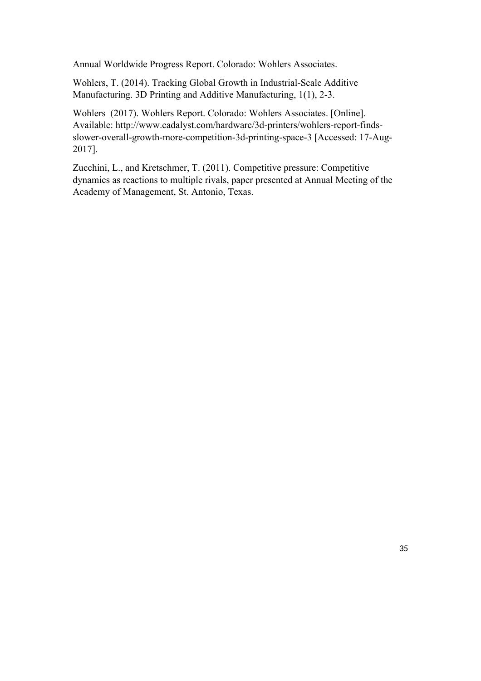Annual Worldwide Progress Report. Colorado: Wohlers Associates.

Wohlers, T. (2014). Tracking Global Growth in Industrial-Scale Additive Manufacturing. 3D Printing and Additive Manufacturing, 1(1), 2-3.

Wohlers (2017). Wohlers Report. Colorado: Wohlers Associates. [Online]. Available: http://www.cadalyst.com/hardware/3d-printers/wohlers-report-findsslower-overall-growth-more-competition-3d-printing-space-3 [Accessed: 17-Aug-2017].

Zucchini, L., and Kretschmer, T. (2011). Competitive pressure: Competitive dynamics as reactions to multiple rivals, paper presented at Annual Meeting of the Academy of Management, St. Antonio, Texas.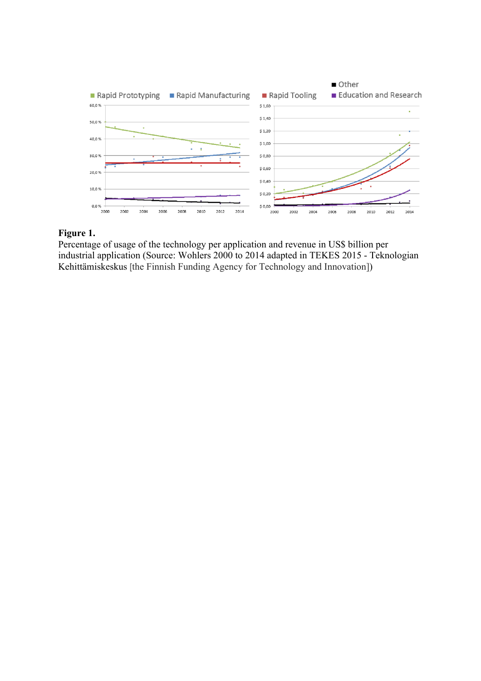

## **Figure 1.**

Percentage of usage of the technology per application and revenue in US\$ billion per industrial application (Source: Wohlers 2000 to 2014 adapted in TEKES 2015 - Teknologian Kehittämiskeskus [the Finnish Funding Agency for Technology and Innovation])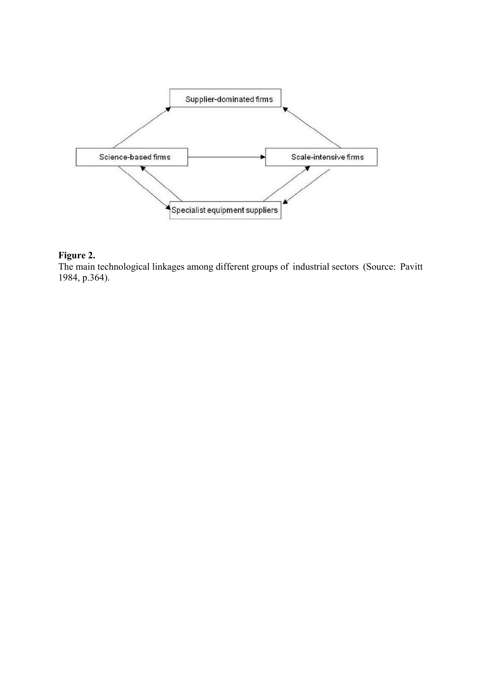

## **Figure 2.**

The main technological linkages among different groups of industrial sectors (Source: Pavitt 1984, p.364).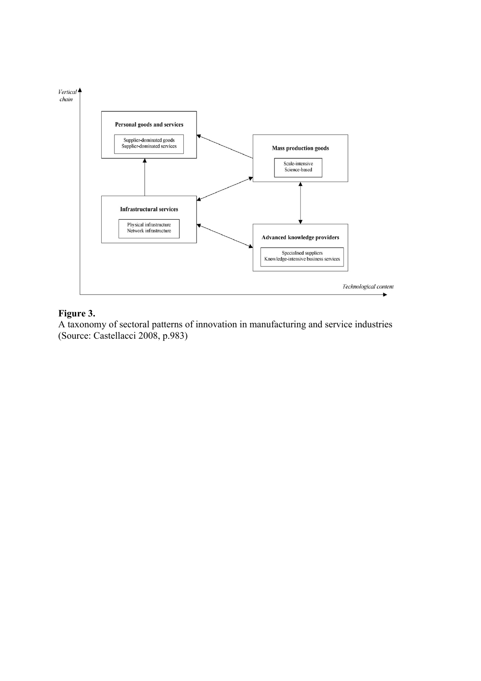

## **Figure 3.**

A taxonomy of sectoral patterns of innovation in manufacturing and service industries (Source: Castellacci 2008, p.983)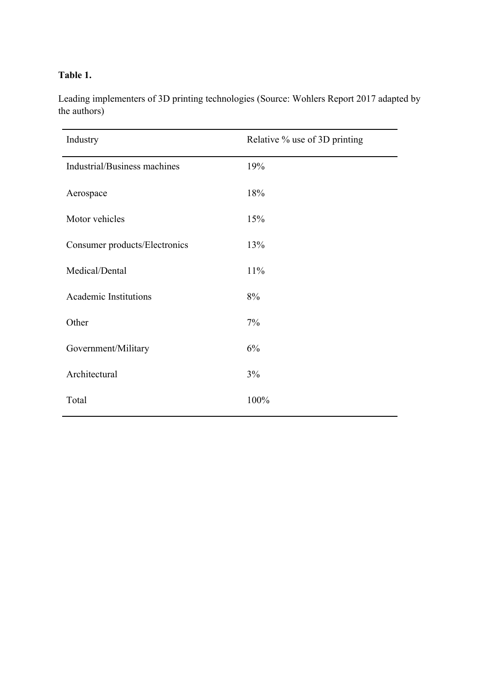## **Table 1.**

Leading implementers of 3D printing technologies (Source: Wohlers Report 2017 adapted by the authors)

| Industry                      | Relative % use of 3D printing |
|-------------------------------|-------------------------------|
| Industrial/Business machines  | 19%                           |
| Aerospace                     | 18%                           |
| Motor vehicles                | 15%                           |
| Consumer products/Electronics | 13%                           |
| Medical/Dental                | 11%                           |
| <b>Academic Institutions</b>  | 8%                            |
| Other                         | 7%                            |
| Government/Military           | 6%                            |
| Architectural                 | 3%                            |
| Total                         | 100%                          |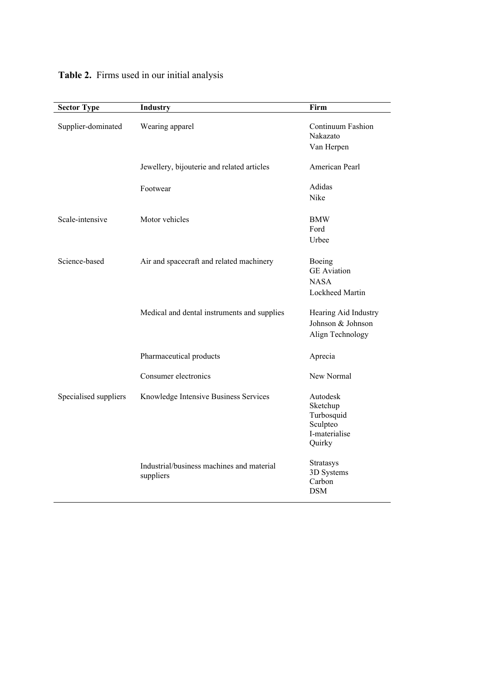| Table 2. Firms used in our initial analysis |  |  |  |  |  |  |  |
|---------------------------------------------|--|--|--|--|--|--|--|
|---------------------------------------------|--|--|--|--|--|--|--|

| <b>Sector Type</b>    | <b>Industry</b>                             | Firm                                 |
|-----------------------|---------------------------------------------|--------------------------------------|
| Supplier-dominated    | Wearing apparel                             | Continuum Fashion<br><b>Nakazato</b> |
|                       |                                             | Van Herpen                           |
|                       | Jewellery, bijouterie and related articles  | American Pearl                       |
|                       | Footwear                                    | Adidas                               |
|                       |                                             | Nike                                 |
| Scale-intensive       | Motor vehicles                              | <b>BMW</b>                           |
|                       |                                             | Ford                                 |
|                       |                                             | Urbee                                |
| Science-based         | Air and spacecraft and related machinery    | Boeing                               |
|                       |                                             | <b>GE</b> Aviation                   |
|                       |                                             | <b>NASA</b>                          |
|                       |                                             | Lockheed Martin                      |
|                       | Medical and dental instruments and supplies | Hearing Aid Industry                 |
|                       |                                             | Johnson & Johnson                    |
|                       |                                             | Align Technology                     |
|                       | Pharmaceutical products                     | Aprecia                              |
|                       | Consumer electronics                        | New Normal                           |
| Specialised suppliers | Knowledge Intensive Business Services       | Autodesk                             |
|                       |                                             | Sketchup                             |
|                       |                                             | Turbosquid                           |
|                       |                                             | Sculpteo                             |
|                       |                                             | I-materialise                        |
|                       |                                             | Quirky                               |
|                       | Industrial/business machines and material   | Stratasys                            |
|                       | suppliers                                   | 3D Systems                           |
|                       |                                             | Carbon                               |
|                       |                                             | <b>DSM</b>                           |